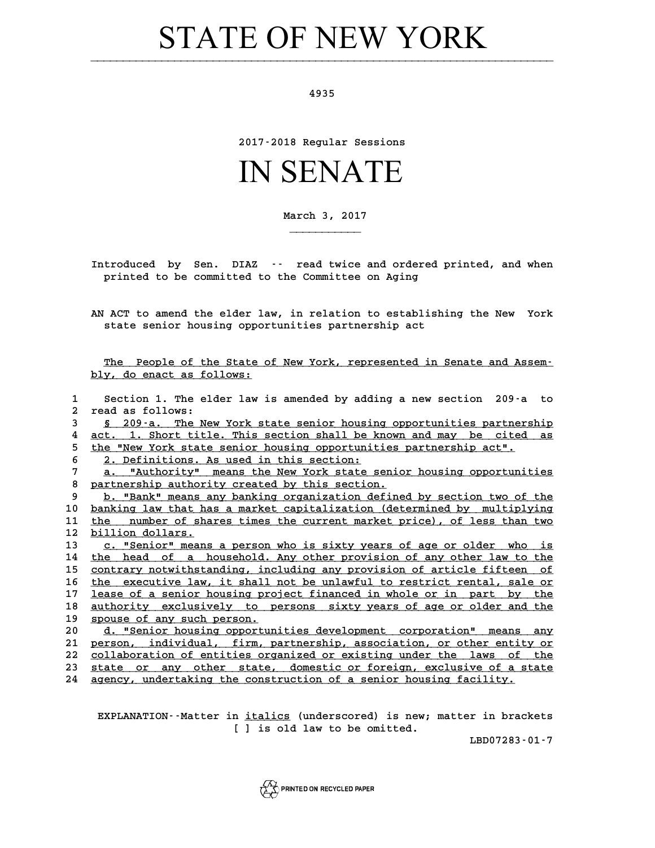## **STATE OF NEW YORK**

**4935**

**2017-2018 Regular Sessions**

## IN SENATE

**March 3, 2017**

**\_\_\_\_\_\_\_\_\_\_\_**

**Introduced by Sen. DIAZ -- read twice and ordered printed, and when printed to be committed to the Committee on Aging**

**AN ACT to amend the elder law, in relation to establishing the New York state senior housing opportunities partnership act**

The People of the State of New York, represented in Senate and Assem-<br>**The People of the State of New York, represented in Senate and Assem**-<u>The People of the State o</u><br>bly, do enact as follows:

|              | bly, do enact as follows:                                                   |
|--------------|-----------------------------------------------------------------------------|
| $\mathbf{1}$ | Section 1. The elder law is amended by adding a new section 209-a to        |
| $\mathbf{2}$ | read as follows:                                                            |
| 3            | § 209-a. The New York state senior housing opportunities partnership        |
| 4            | act. 1. Short title. This section shall be known and may be cited as        |
| 5            | the "New York state senior housing opportunities partnership act".          |
| 6            | 2. Definitions. As used in this section:                                    |
| 7            | a. "Authority" means the New York state senior housing opportunities        |
| 8            | partnership authority created by this section.                              |
| 9            | b. "Bank" means any banking organization defined by section two of the      |
| 10           | banking law that has a market capitalization (determined by multiplying     |
| 11           | number of shares times the current market price), of less than two<br>the   |
| 12           | billion dollars.                                                            |
| 13           | c. "Senior" means a person who is sixty years of age or older who is        |
| 14           | the head of a household. Any other provision of any other law to the        |
| 15           | contrary notwithstanding, including any provision of article fifteen of     |
| 16           | the executive law, it shall not be unlawful to restrict rental, sale or     |
| 17           | lease of a senior housing project financed in whole or in part by the       |
| 18           | <u>authority exclusively to persons sixty years of age or older and the</u> |
| 19           | spouse of any such person.                                                  |
| 20           | d. "Senior housing opportunities development corporation" means any         |
| 21           | person, individual, firm, partnership, association, or other entity or      |
| 22           | collaboration of entities organized or existing under the laws<br>of the    |
| 23.          | state or any other state, domestic or foreign, exclusive of a state         |
| 24.          | agency, undertaking the construction of a senior housing facility.          |
|              |                                                                             |

**EXPLANATION--Matter in <u>italics</u> (underscored) is new; matter in brackets** n <u>italics</u> (underscored) is new; :<br>[ ] is old law to be omitted.

**LBD07283-01-7**

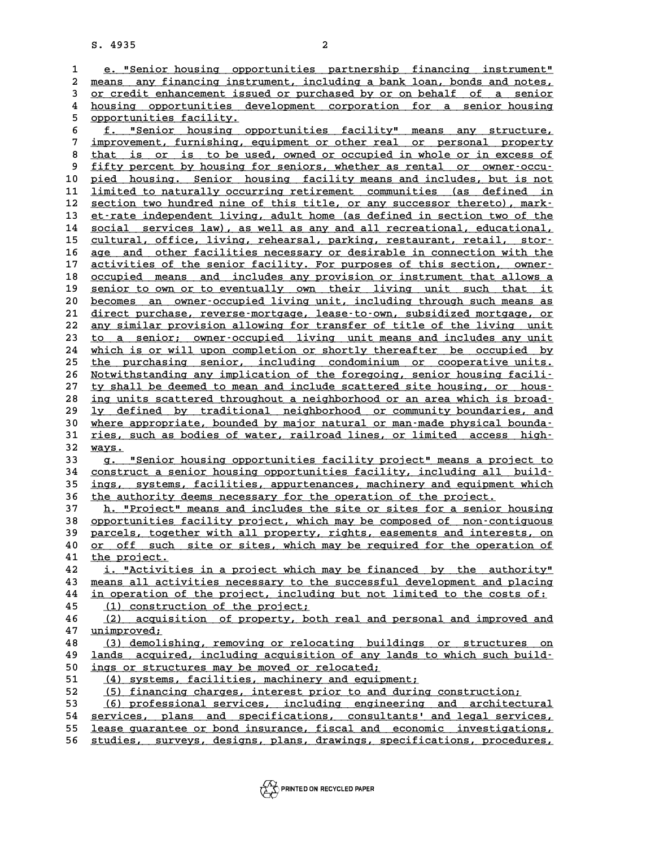**S. 4935 2** 1 e. 4935<br>**1** e. "Senior housing opportunities partnership financing instrument"<br>2 means any financing instrument, including a bank loan, bonds and notes, 2 <u>means any financing instrument, including a bank loan, bonds and notes, 2</u><br>3 or credit enhancement issued or purchased by or on behalf of a senior **3** <u>or credit enhancement issued or purchased by or on behalf of a senior <br>4 housing opportunities development corporation for a senior housing</u> means any financing instrument, including a bank loan, bonds and notes,<br>
or credit enhancement issued or purchased by or on behalf of a senior<br> **housing** opportunities development corporation for a senior housing<br> **E** enha 3 <u>or credit enhancement issu</u><br>
4 <u>housing opportunities de</u><br>
5 <u>opportunities facility.</u> 4 <u>housing opportunities development corporation for a senior housing<br>5 opportunities facility.<br>6 <u>f. "Senior housing opportunities facility" means any structure,</u><br>7 improvement furnishing equipment or other real or person</u> 5 opportunities facility.<br>
5 <u>f. "Senior housing opportunities facility" means any structure,</u><br>
7 <u>improvement, furnishing, equipment or other real or personal property</u><br>
that is an is to be used armod an equipied in riple **8 f. "Senior housing opportunities facility" means any structure,<br>
<b>1** improvement, furnishing, equipment or other real or personal property<br> **8** that is or is to be used, owned or occupied in whole or in excess of<br> **1** f 9 improvement, furnishing, equipment or other real or personal property<br>
8 that is or is to be used, owned or occupied in whole or in excess of<br>
9 fifty percent by housing for seniors, whether as rental or owner-occu-<br>
10 8 <u>that is or is to be used, owned or occupied in whole or in excess of</u><br>9 <u>fifty percent by housing for seniors, whether as rental or owner-occu-</u><br>10 <u>pied housing. Senior housing facility means and includes, but is not</u><br> 9 <u>fifty percent by housing for seniors, whether as rental or owner-occu-</u><br>10 <u>pied housing. Senior housing facility means and includes, but is not</u><br>11 <u>limited to naturally occurring retirement communities (as defined in</u> pied housing. Senior housing facility means and includes, but is not<br>
11 <u>limited to naturally occurring retirement</u> communities (as defined in<br>
12 section two hundred nine of this title, or any successor thereto), mark-<br> 11 limited to naturally occurring retirement communities (as defined in section two hundred nine of this title, or any successor thereto), mark-<br>
13 et-rate independent living, adult home (as defined in section two of the<br> 12 <u>section two hundred nine of this title, or any successor thereto), mark-</u><br>
13 <u>et rate independent living, adult home (as defined in section two of the</u><br>
<u>social services law), as well as any and all recreational, educ</u> 13 <u>et-rate independent living, adult home (as defined in section two of the social services law), as well as any and all recreational, educational, cultural, office, living, rehearsal, parking, restaurant, retail, stor-<br>1</u> 14 <u>social services law), as well as any and all recreational, educational, cultural, office, living, rehearsal, parking, restaurant, retail, stor-<br>16 <u>age and other facilities necessary or desirable in connection with the</u></u> <u>cultural, office, living, rehearsal, parking, restaurant, retail, stor-</u><br>16 <u>age and other facilities necessary or desirable in connection with the</u><br>activities of the senior facility. For purposes of this section, owner-<br> **16** <u>age and other facilities necessary or desirable in connection with the activities of the senior facility. For purposes of this section, owner-<br>18 <u>occupied means and includes any provision or instrument that allows a</u></u> activities of the senior facility. For purposes of this section, owner-<br>
18 <u>occupied means and includes any provision or instrument that allows a</u><br>
19 <u>senior to own or to eventually own their living unit such that it</u><br>
2 occupied means and includes any provision or instrument that allows a<br> **20 <u>becomes an owner-occupied living unit</u>, including through such means as**<br> **21 direct purchase reverse-mortage lease-to-own subsidired mortage or** 19 <u>senior to own or to eventually own their living unit such that it</u><br>20 <u>becomes an owner-occupied living unit, including through such means as</u><br>21 <u>direct purchase, reverse-mortgage, lease-to-own, subsidized mortgage, o</u> 22 <u>any similar provision allowing for transfer of title of the living unit</u><br>23 to a senior; owner-occupied living unit means and includes any unit 23 to a senior; owner-occupied living unit means and includes any unit<br>24 which is or will upon completion or shortly thereafter be occupied by 22 <u>any similar provision allowing for transfer of title of the living unit<br>23 to a senior; owner-occupied living unit means and includes any unit<br>24 which is or will upon completion or shortly thereafter be occupied by<br>25</u> to a senior; owner-occupied living unit means and includes any unit<br>
24 which is or will upon completion or shortly thereafter be occupied by<br>
25 the purchasing senior, including condominium or cooperative units.<br>
26 Notwi **24 Which is or will upon completion or shortly thereafter be occupied by<br>
25 the purchasing senior, including condominium or cooperative units.<br>
26 Notwithstanding any implication of the foregoing, senior housing facili-<br>** 25 <u>the purchasing senior, including condominium or cooperative units.</u><br>26 <u>Notwithstanding any implication of the foregoing, senior housing facili-</u><br>27 <u>ty shall be deemed to mean and include scattered site housing, or ho</u> Xeta and include scattered site housing facili-<br>
27 <u>ty shall be deemed to mean and include scattered site housing, or hous-</u><br>
28 <u>ing units scattered throughout a neighborhood or an area which is broad-</u><br>
11. dofined by t **Ly shall be deemed to mean and include scattered site housing, or hous-**<br> **28** <u>ing units scattered throughout a neighborhood or an area which is broad-<br> **19** defined by traditional neighborhood or community boundaries, a</u> **38 ing units scattered throughout a neighborhood or an area which is broad-** <br> **29 ly defined by traditional neighborhood or community boundaries, and**<br> **30 where appropriate, bounded by major natural or man-made physical 1y defined by traditional neighborhood or community boundaries, and where appropriate, bounded by major natural or man-made physical bounda-** <br>31 <u>ries, such as bodies of water, railroad lines, or limited access high-</u><br><sup>3</sup> 30 <u>where ap</u><br>31 <u>ries, su</u><br>32 <u>ways.</u><br>33 <u>c</u> 31 <u>ries, such as bodies of water, railroad lines, or limited access high-<br>32 ways.<br>33 g. "Senior housing opportunities facility project" means a project to<br>34 construct a senior housing opportunities facility, including a</u> **32 <u>ways.</u><br>33 g. "Senior housing opportunities facility project" means a project to<br>34 construct a senior housing opportunities facility, including all build-<br>35 ings. quaters, facilities, appurtenances, rashinery and equ 33 g.** "Senior housing opportunities facility project" means a project to<br>34 construct a senior housing opportunities facility, including all build-<br>35 ings, systems, facilities, appurtenances, machinery and equipment w **34** construct a senior housing opportunities facility, including all <br> **35** ings, systems, facilities, appurtenances, machinery and equipment<br> **36** the authority deems necessary for the operation of the project.<br> **127** h. ings, systems, facilities, appurtenances, machinery and equipment which<br>36 <u>the authority deems necessary for the operation of the project.</u><br>37 h. "Project" means and includes the site or sites for a senior housing<br>28 conn 36 <u>the authority deems necessary for the operation of the project.</u><br>37 <u>h. "Project" means and includes the site or sites for a senior housing</u><br>38 <u>opportunities facility project, which may be composed of non-contiguous</u><br> 37 **h. "Project" means and includes the site or sites for a senior housing<br>38 opportunities facility project, which may be composed of non-contiguous<br>39 parcels, together with all property, rights, easements and interests,** 38 opportunities facility project, which may be composed of non-contiguous<br>39 parcels, together with all property, rights, easements and interests, on<br>40 <u>or off such site or sites, which may be required for the operation </u> 40 <u>or off such site or sites, which may be required for the operation of the project.<br>41 <u>the project.</u><br>42 **i.** "Activities in a project which may be financed by the authority"</u> or off such site or sites, which may be required for the operation of<br> **41** <u>the project.</u><br> **42** <u>i. "Activities in a project which may be financed by the authority"</u><br> **13** means all activities pecessary to the successful **41** <u>the project.</u><br> **42** <u>i. "Activities in a project which may be financed by the authority"<br> **43** means all activities necessary to the successful development and placing<br> *44* in eperation of the project including but </u> **42** <u>i. "Activities in a project which may be financed by the authority"</u><br>43 <u>means all activities necessary to the successful development and placing</u><br><u>15</u> (1) construction of the project: 43 means all activities necessary to the<br>44 <u>in operation of the project, includine</u><br>45 (1) construction of the project;<br>46 (2) consistion of proporty both **44** <u>in operation of the project, including but not limited to the costs of:</u><br> **45** (1) construction of the project;<br> **46** (2) acquisition of property, both real and personal and improved and<br> **47** unimproved: 15 (1) construction of the project;<br> **46** (2) acquisition of property, both real and personal and improved and<br> **47** unimproved;<br> **48** (3) demolishing, removing or relocating buildings or structures on **48 (2) acquisition of property, both real and personal and improved and<br>47 <u>unimproved:</u><br>48 (3) demolishing, removing or relocating buildings or structures on<br>19 lands acquired including acquisition of any lands to which 47** <u>unimproved;</u><br> **48** (3) demolishing, removing or relocating buildings or structures on<br> **19** lands acquired, including acquisition of any lands to which such build-<br> **1920** ings or structures may be meved or releasted 48 (3) demolishing, removing or relocating build<br>49 <u>lands acquired, including acquisition of any la</u><br>50 <u>ings or structures may be moved or relocated;</u><br>51 (4) systems facilities mashinery and equipment 1 ands acquired, including acquisition of any lands to which such build<br>
50 <u>ings or structures may be moved or relocated;</u><br>
51 (4) systems, facilities, machinery and equipment;<br>
52 (5) financing charges, interest prior to **52** (5) financing charges, interest prior to and during construction;<br>53 (6) professional services, including engineering and architec **53** (6) professional services, including engineering and architectural<br>54 services, plans and s<u>pecifications, consultants' and legal services,</u> **52** (5) financing charges, interest prior to and during construction;<br> **53** (6) professional services, including engineering and architectural<br> **54** services, plans and specifications, consultants' and legal services,<br> **5 53** (6) professional services, including engineering and architectural<br>54 services, plans and specifications, consultants' and legal services,<br><u>lease guarantee or bond insurance, fiscal and economic investigations,</u><br>56 st 54 <u>services, plans and specifications, consultants' and legal services,</u><br>55 <u>lease-guarantee or bond insurance, fiscal and economic investigations,</u><br>56 <u>studies, surveys, designs, plans, drawings, specifications, procedur</u>

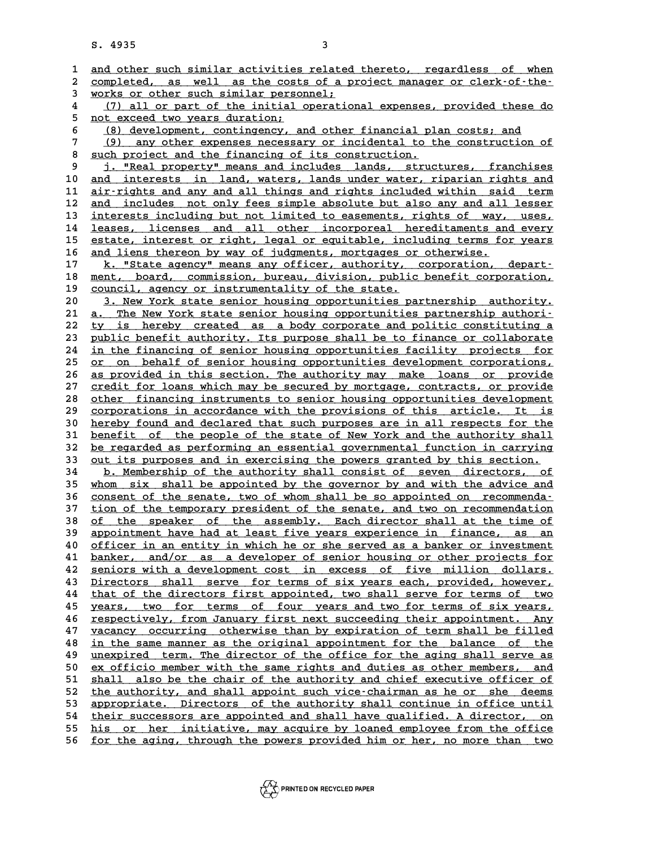|                         | S. 4935                                                               | 3                                                                                                                                                     |  |  |
|-------------------------|-----------------------------------------------------------------------|-------------------------------------------------------------------------------------------------------------------------------------------------------|--|--|
|                         |                                                                       |                                                                                                                                                       |  |  |
| 1                       |                                                                       | and other such similar activities related thereto, regardless of when                                                                                 |  |  |
| $\bf{2}$<br>3           | completed, as well as the costs of a project manager or clerk-of-the- |                                                                                                                                                       |  |  |
| $\overline{\mathbf{4}}$ | works or other such similar personnel;                                |                                                                                                                                                       |  |  |
| 5                       |                                                                       | (7) all or part of the initial operational expenses, provided these do<br>not exceed two years duration;                                              |  |  |
| 6                       |                                                                       | (8) development, contingency, and other financial plan costs; and                                                                                     |  |  |
| 7                       | (9)                                                                   | any other expenses necessary or incidental to the construction of                                                                                     |  |  |
| 8                       |                                                                       | such project and the financing of its construction.                                                                                                   |  |  |
| 9                       |                                                                       | j. "Real property" means and includes lands, structures, franchises                                                                                   |  |  |
| 10                      |                                                                       | and interests in land, waters, lands under water, riparian rights and                                                                                 |  |  |
| 11                      |                                                                       | air-rights and any and all things and rights included within said term                                                                                |  |  |
| 12                      |                                                                       | and includes not only fees simple absolute but also any and all lesser                                                                                |  |  |
| 13                      |                                                                       | interests including but not limited to easements, rights of way, uses,                                                                                |  |  |
| 14                      |                                                                       | leases, licenses and all other incorporeal hereditaments and every                                                                                    |  |  |
| 15                      |                                                                       | estate, interest or right, legal or equitable, including terms for years                                                                              |  |  |
| 16                      |                                                                       | and liens thereon by way of judgments, mortgages or otherwise.                                                                                        |  |  |
| 17                      |                                                                       | k. "State agency" means any officer, authority, corporation, depart-                                                                                  |  |  |
| 18                      |                                                                       | ment, board, commission, bureau, division, public benefit corporation,                                                                                |  |  |
| 19                      |                                                                       | council, agency or instrumentality of the state.                                                                                                      |  |  |
| 20                      |                                                                       | 3. New York state senior housing opportunities partnership authority.                                                                                 |  |  |
| 21                      | а. —                                                                  | The New York state senior housing opportunities partnership authori-                                                                                  |  |  |
| 22<br>23                |                                                                       | ty is hereby created as a body corporate and politic constituting a<br>public benefit authority. Its purpose shall be to finance or collaborate       |  |  |
| 24                      |                                                                       | in the financing of senior housing opportunities facility projects for                                                                                |  |  |
| 25                      |                                                                       | or on behalf of senior housing opportunities development corporations,                                                                                |  |  |
| 26                      |                                                                       | as provided in this section. The authority may make loans or provide                                                                                  |  |  |
| 27                      |                                                                       | credit for loans which may be secured by mortgage, contracts, or provide                                                                              |  |  |
| 28                      |                                                                       | other financing instruments to senior housing opportunities development                                                                               |  |  |
| 29                      |                                                                       | corporations in accordance with the provisions of this article. It is                                                                                 |  |  |
| 30                      |                                                                       | hereby found and declared that such purposes are in all respects for the                                                                              |  |  |
| 31                      |                                                                       | benefit of the people of the state of New York and the authority shall                                                                                |  |  |
| 32                      |                                                                       | be regarded as performing an essential governmental function in carrying                                                                              |  |  |
| 33                      |                                                                       | out its purposes and in exercising the powers granted by this section.                                                                                |  |  |
| 34                      |                                                                       | b. Membership of the authority shall consist of seven directors, of                                                                                   |  |  |
| 35                      |                                                                       | whom six shall be appointed by the governor by and with the advice and                                                                                |  |  |
| 36                      |                                                                       | consent of the senate, two of whom shall be so appointed on recommenda-                                                                               |  |  |
| 37                      |                                                                       | tion of the temporary president of the senate, and two on recommendation                                                                              |  |  |
| 38<br>39                |                                                                       | <u>of the speaker of the assembly. Each director shall at the time of</u><br>appointment have had at least five years experience in finance, as<br>an |  |  |
| 40                      |                                                                       | officer in an entity in which he or she served as a banker or investment                                                                              |  |  |
| 41                      |                                                                       | banker, and/or as a developer of senior housing or other projects for                                                                                 |  |  |
| 42                      |                                                                       | seniors with a development cost in excess of five million dollars.                                                                                    |  |  |
| 43                      |                                                                       | Directors shall serve for terms of six years each, provided, however,                                                                                 |  |  |
| 44                      |                                                                       | that of the directors first appointed, two shall serve for terms of two                                                                               |  |  |
| 45                      |                                                                       | years, two for terms of four years and two for terms of six years,                                                                                    |  |  |
| 46                      |                                                                       | respectively, from January first next succeeding their appointment. Any                                                                               |  |  |
| 47                      |                                                                       | vacancy occurring otherwise than by expiration of term shall be filled                                                                                |  |  |
| 48                      |                                                                       | in the same manner as the original appointment for the balance of the                                                                                 |  |  |
| 49                      |                                                                       | unexpired term. The director of the office for the aging shall serve as                                                                               |  |  |
| 50                      |                                                                       | ex officio member with the same rights and duties as other members, and                                                                               |  |  |
| 51                      |                                                                       | shall also be the chair of the authority and chief executive officer of                                                                               |  |  |
| 52<br>53                |                                                                       | the authority, and shall appoint such vice-chairman as he or she deems<br>appropriate. Directors of the authority shall continue in office until      |  |  |
| 54                      |                                                                       | their successors are appointed and shall have qualified. A director, on                                                                               |  |  |
| 55                      |                                                                       | his or her initiative, may acquire by loaned employee from the office                                                                                 |  |  |
| 56                      |                                                                       | for the aging, through the powers provided him or her, no more than two                                                                               |  |  |
|                         |                                                                       |                                                                                                                                                       |  |  |

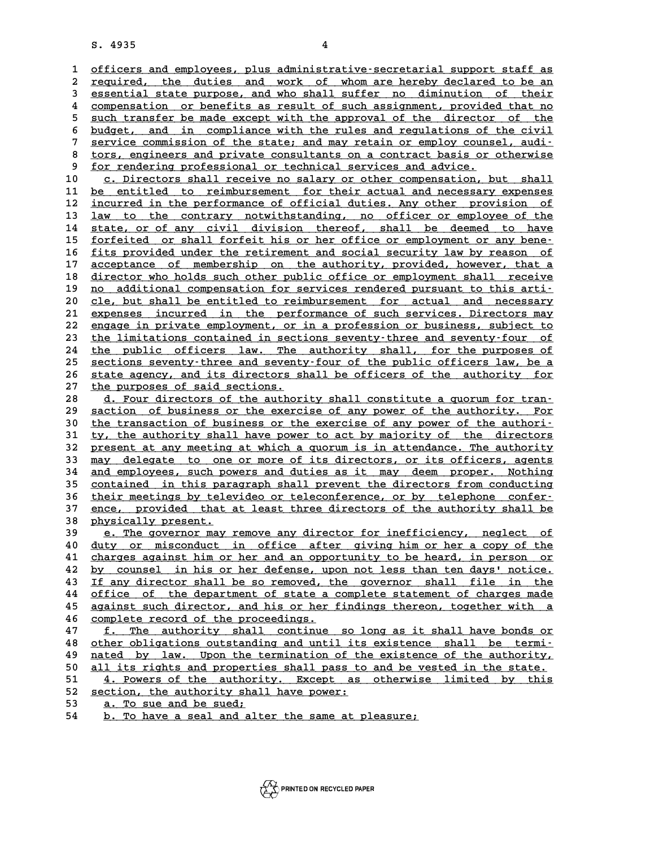8. 4935<br>1 <u>officers and employees, plus administrative-secretarial support staff as</u><br>2 required the duties and werk of whem are bereby dealared to be an 2 <u>officers and employees, plus administrative-secretarial support staff as</u><br>2 <u>required, the duties and work of whom are hereby declared to be an</u><br>3 essential state purpose, and who shall suffer no diminution of their 3 <u>required, the duties and work of whom are hereby declared to be an</u><br>2 <u>required, the duties and work of whom are hereby declared to be an</u><br>3 <u>essential state purpose, and who shall suffer no diminution of their</u><br>4 compo required, the duties and work of whom are hereby declared to be an<br>assential state purpose, and who shall suffer no diminution of their<br><u>compensation</u> or benefits as result of such assignment, provided that no<br>such transfo **5** such transfer be made except with the approval of the director of their<br> **5** such transfer be made except with the approval of the director of the<br>
budget and in compliance with the welco and requisions of the sixil 6 <u>such transfer be made except with the approval of the director of the budget, and in compliance with the rules and regulations of the civil<br>
7 service commission of the state: and may retain or employ counsel, audi-</u> 5 <u>such transfer be made except with the approval of the director of the budget, and in compliance with the rules and regulations of the civil<br>7 service commission of the state; and may retain or employ counsel, audi-<br>8 to</u> 8 budget, and in compliance with the rules and regulations of the civil<br>
7 service commission of the state; and may retain or employ counsel, audi-<br>
8 tors, engineers and private consultants on a contract basis or otherwis 9 **service commission of the state; and may retain or employ couns**<br>
8 <u>tors, engineers and private consultants on a contract basis or</u><br>
9 <u>for rendering professional or technical services and advice.</u><br>
9 **a** Directors sha

9 <u>for rendering professional or technical services and advice.</u><br>10 c. Directors shall receive no salary or other compensation, but shall<br>11 be entitled to reimbursement for their actual and necessary expenses **10** <u>c. Directors shall receive no salary or other compensation, but shall be entitled to reimbursement for their actual and necessary expenses<br> **11** be entitled to reimbursement for their actual and necessary expenses<br>
i</u> c. Directors shall receive no salary or other compensation, but shall<br>
11 be entitled to reimbursement for their actual and necessary expenses<br>
12 incurred in the performance of official duties. Any other provision of<br>
13 11 <u>be entitled to reimbursement for their actual and necessary expenses</u><br>12 <u>incurred in the performance of official duties. Any other provision of</u><br>13 <u>law to the contrary notwithstanding, no officer or employee of the</u><br> incurred in the performance of official duties. Any other provision of<br>
13 <u>law to the contrary notwithstanding</u>, no officer or employee of the<br>
14 state, or of any civil division thereof, shall be deemed to have<br>
forfoite **13 Law to the contrary notwithstanding, no officer or employee of the state, or of any civil division thereof, shall be deemed to have forfeited or shall forfeit his or her office or employment or any bene-**<br> **15** fits pr 14 state, or of any civil division thereof, shall be deemed to have<br>15 <u>forfeited or shall forfeit his or her office or employment or any bene</u>-<br>16 <u>fits provided under the retirement and social security law by reason of</u><br> **15** <u>forfeited or shall forfeit his or her office or employment or any bene-</u><br>16 <u>fits provided under the retirement and social security law by reason of</u><br>217 <u>acceptance of membership on the authority, provided, however,</u> **16 fits provided under the retirement and social security law by reason of acceptance of membership on the authority, provided, however, that a director who holds such other public office or employment shall receive**  $\frac{$ 17 acceptance of membership on the authority, provided, however, that a<br>18 director who holds such other public office or employment shall receive<br>19 <u>no additional compensation for services rendered pursuant to this arti-</u> director who holds such other public office or employment shall receive<br>
<u>no additional compensation for services rendered pursuant to this arti-</u><br>
<u>cle, but shall be entitled to reimbursement for actual and necessary</u><br>
ar <u>no additional compensation for services rendered pursuant to this arti-</u><br>
20 <u>cle, but shall be entitled to reimbursement</u> for actual and necessary<br>
21 expenses incurred in the performance of such services. Directors may<br> 20 cle, but shall be entitled to reimbursement for actual and necessary<br>21 expenses incurred in the performance of such services. Directors may<br>22 engage in private employment, or in a profession or business, subject to<br>23 21 expenses incurred in the performance of such services. Directors may<br>22 engage in private employment, or in a profession or business, subject to<br>23 the limitations contained in sections seventy-three and seventy-four of 22 <u>engage in private employment, or in a profession or business, subject to</u><br>23 the limitations contained in sections seventy-three and seventy-four of<br>24 the public officers law. The authority shall, for the purposes of<br> 23 the limitations contained in sections seventy-three and seventy-four of<br>
24 the public officers law, The authority shall, for the purposes of<br>
25 sections seventy-three and seventy-four of the public officers law, be a<br> 24 the public officers law. The authority shall, for the purposes of sections seventy-three and seventy-four of the public officers law, be a state agency, and its directors shall be officers of the authority for the nurre 25 <u>sections seventy-three and seventy-four of the public officers law, be a</u><br>26 <u>state agency, and its directors shall be officers of the authority for</u><br>27 <u>the purposes of said sections.</u><br>28 d. Four directors of the auth

28 d. Four directors of the authority shall constitute a quorum for tran-<br>29 saction of business or the exercise of any power of the authority. For <sup>27</sup> the purposes of said sections.<br>
<sup>28</sup> <u>d. Four directors of the authority shall constitute a quorum for transaction of business or the exercise of any power of the authority. For<br>
<sup>20</sup> the transaction of business or th</u> **30 d. Four directors of the authority shall constitute a quorum for transaction of business or the exercise of any power of the authority. For the transaction of business or the exercise of any power of the authority the** 39 <u>saction of business or the exercise of any power of the authority. For</u><br>30 <u>the transaction of business or the exercise of any power of the authori-</u><br>31 ty, the authority shall have power to act by majority of the dire 30 the transaction of business or the exercise of any power of the authori-<br>31 ty, the authority shall have power to act by majority of the directors<br>32 present at any meeting at which a quorum is in attendance. The author **51 ty, the authority shall have power to act by majority of the directors**<br> **32 present at any meeting at which a quorum is in attendance. The authority**<br> **33 may delegate to one or more of its directors, or its officers,** 32 <u>present at any meeting at which a quorum is in attendance. The authority</u><br>33 <u>may delegate to one or more of its directors, or its officers, agents</u><br>34 <u>and employees, such powers and duties as it may deem proper. Noth</u> 33 may delegate to one or more of its directors, or its officers, agents<br>34 and employees, such powers and duties as it may deem proper. Nothing<br>35 <u>contained in this paragraph shall prevent the directors from conducting</u><br> 34 and employees, such powers and duties as it may deem proper. Nothing<br>35 <u>contained in this paragraph shall prevent the directors from conducting</u><br>36 <u>their meetings by televideo or teleconference, or by telephone confer</u> 35 contained in this paragraph shall prevent the directors from conducting<br>36 <u>their meetings by televideo or teleconference</u>, or by telephone confer-<br>37 ence, provided that at least three directors of the authority shall 36 <u>their meetings by tele</u><br>37 <u>ence, provided that</u><br>38 physically present. 37 ence, provided that at least three directors of the authority shall be<br>38 physically present.<br><u>29 e. The governor may remove any director for inefficiency</u>, neglect of<br>39 e. The governor may remove any director for inef

**40 duty or misconduct in office after the inefficiency, neglect of duty or misconduct in office after giving him or her a copy of the<br>
40 <u>duty or misconduct in office after giving him or her a copy of the</u><br>
41 charges ag 40** <u>e. The governor may remove any director for inefficiency, neglect of duty or misconduct in office after giving him or her a copy of the charges against him or her and an opportunity to be heard, in person or  $\frac{1}{2}$ **40 duty or misconduct in office after giving him or her a copy of the charges against him or her and an opportunity to be heard, in person or by counsel in his or her defense, upon not less than ten days' notice.**<br>**42** by detail the solution of the solution of the solution of the solution of the governor shall file in the<br>43 If any director shall be so removed, the governor shall file in the<br>44 of tiss of the department of state a semulate **by counsel in his or her defense, upon not less than ten days' notice.**<br> **44** <u>office of the department of state a complete statement of charges made</u><br> **25** against such director and his or bor findings thereor together w **15 43 If any director shall be so removed, the governor shall file in the office of the department of state a complete statement of charges made against such director, and his or her findings thereon, together with a serm 44** office of the department of state a<br>45 against such director, and his or her<br>46 complete record of the proceedings.<br>47 f mbo authority shall continue **45** against such director, and his or her findings thereon, together with a<br>46 <u>complete record of the proceedings.</u><br>47 <u>f. The authority shall continue so long as it shall have bonds or</u><br>above abitations outstanding and

**46** <u>complete record of the proceedings.</u><br> **47** <u>f. The authority shall continue so long as it shall have bonds or<br>
<u>the obligations outstanding and until its existence shall be termi-</u><br> **particularly solutions** the termi</u> 47 <u>f. The authority shall continue so long as it shall have bonds or</u><br>48 <u>other obligations outstanding and until its existence shall be termi-</u><br><u>nated by law. Upon the termination of the existence of the authority,</u><br>50 a other obligations outstanding and until its existence shall be terminated by law. Upon the termination of the existence of the authority,<br>
50 <u>all its rights and properties shall pass to and be vested in the state.</u><br>
4 Bow ated by law. Upon the termination of the existence of the authority,<br>
50 all its rights and properties shall pass to and be vested in the state.<br>
51 4. Powers of the authority. Except as otherwise limited by this<br>
52 secti 50 all its rights and properties shall pass to<br>51 4. Powers of the authority. Except as<br>52 <u>section, the authority shall have power:</u><br>53 3 <sup>m</sup>o sue and be sued: 51 <u>4. Powers of the authority. Except as otherwise limited by this<br>
52 <u>section, the authority shall have power:</u><br>
53 a. To sue and be sued;<br>
54 b. To have a seal and alter the same at pleasure;</u>

- 
- 

```
b. To have a seal and alter the same at pleasure;
```
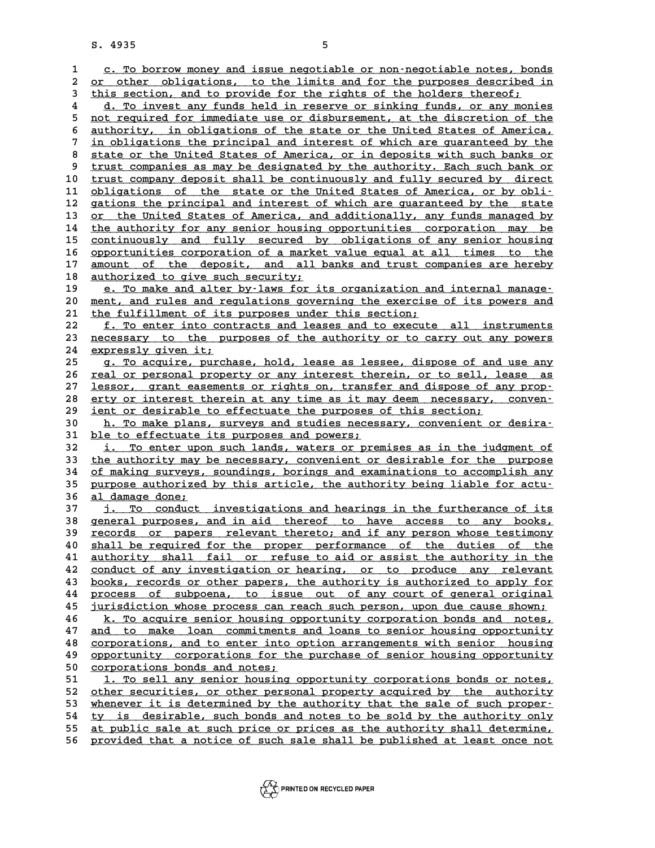8. 4935<br>1 <u>c. To borrow money and issue negotiable or non-negotiable notes, bonds</u><br>2 or other ebligations, to the limits and for the purposes described in 2 <u>c. To borrow money and issue negotiable or non-negotiable notes, bonds</u><br>2 <u>or other obligations, to the limits and for the purposes described in</u><br>3 this sestion, and to provide for the rights of the bolders thereof. 2 <u>c. To borrow money and issue negotiable or non-negotiable notes, bon</u><br>2 <u>or other obligations, to the limits and for the purposes described</u><br>3 this section, and to provide for the rights of the holders thereof;<br><sup>4</sup> d<sup>m</sup> or other obligations, to the limits and for the purposes described in<br>
this section, and to provide for the rights of the holders thereof;<br>
4 d. To invest any funds held in reserve or sinking funds, or any monies<br>
and requ this section, and to provide for the rights of the holders thereof;<br>
4 d. To invest any funds held in reserve or sinking funds, or any monies<br>
<u>not required for immediate use or disbursement, at the discretion of the</u><br>
sut d. To invest any funds held in reserve or sinking funds, or any monies<br>
s <u>not required for immediate use or disbursement</u>, at the discretion of the<br>
<u>authority, in obligations of the state or the United States of America,</u> 5 <u>not required for immediate use or disbursement, at the discretion of the authority, in obligations of the state or the United States of America, in obligations the principal and interest of which are quaranteed by the s</u> 8 <u>authority, in obligations of the state or the United States of America, in obligations the principal and interest of which are guaranteed by the state or the United States of America, or in deposits with such banks or  $$ In obligations the principal and interest of which are guaranteed by the state or the United States of America, or in deposits with such banks or trust companies as may be designated by the authority. Each such bank or tru 8 state or the United States of America, or in deposits with such banks or<br>9 trust companies as may be designated by the authority. Each such bank or<br>10 trust company deposit shall be continuously and fully secured by dire 9 trust companies as may be designated by the authority. Each such bank or<br>10 trust company deposit shall be continuously and fully secured by direct<br>11 <u>obligations of the state or the United States of America, or by obli</u> 10 <u>trust company deposit shall be continuously and fully secured by direct</u><br>11 <u>obligations of the state or the United States of America, or by obli-</u><br>12 gations the principal and interest of which are guaranteed by the s obligations of the state or the United States of America, or by obli-<br>12 gations the principal and interest of which are guaranteed by the state<br>13 <u>or the United States of America, and additionally, any funds managed by</u><br> 12 gations the principal and interest of which are guaranteed by the state<br>13 <u>or the United States of America, and additionally, any funds managed by</u><br>14 <u>the authority for any senior housing opportunities corporation may</u> 14 <u>the authority for any senior housing opportunities corporation may be</u><br>15 <u>continuously and fully secured by obligations of any senior housing</u><br>16 opportunities corporation of a market value equal at all times to the 16 <u>opportunities corporation of a market value equal at all times to the</u><br>17 amount of the deposit, and all banks and trust companies are hereby continuously and fully secured by obligations of any senior housing<br>16 opportunities corporation of a market value equal at all times to the<br>17 amount of the deposit, and all banks and trust companies are hereby<br>31 authori 16 <u>opportunities corporation of a marke</u><br>17 <u>amount of the deposit, and all</u><br>18 <u>authorized to give such security;</u><br>19 0 To make and alter by-laws for i amount of the deposit, and all banks and trust companies are hereby<br> **18** <u>authorized to give such security;</u><br> **19** e. To make and alter by-laws for its organization and internal manage-<br> **20** mont and rules and requisions **20 authorized to give such security;<br>
20 e. To make and alter by–laws for its organization and internal manage–<br>
20 ment, and rules and regulations governing the exercise of its powers and<br>
21 the fulfillment of its purpo** 20 e. To make and alter by-laws for its organization an<br>
20 <u>ment, and rules and regulations governing the exercise</u><br>
21 the fulfillment of its purposes under this section;<br>
<sup>22</sup> f mo onter into contracts and logoes and to 20 <u>ment, and rules and regulations governing the exercise of its powers and the fulfillment of its purposes under this section;<br>
22 <u>f. To enter into contracts and leases and to execute all instruments</u><br>
23 necessary to t</u> 21 the fulfillment of its purposes under this section;<br>
22 f. To enter into contracts and leases and to execute all instruments<br>
23 necessary to the purposes of the authority or to carry out any powers<br>
24 expressive sites 21 the fulfillment of its purposes under this section;<br>
<u>22 f. To enter into contracts and leases and to execute all instruments</u><br>
23 necessary to the purposes of the authority or to carry out any powers<br>
24 <u>expressly giv</u> 23 <u>necessary to the purposes of the authority or to carry out any powers<br>24 expressly given it;<br>25 g. To acquire, purchase, hold, lease as lessee, dispose of and use any<br>26 you be proposed proporty or purishes therein or </u> 24 expressly given it;<br>25 g. To acquire, purchase, hold, lease as lessee, dispose of and use any<br>26 <u>real or personal property or any interest therein, or to sell, lease as</u><br>27 legger graph exempts or rights on transfor an **25 g. To acquire, purchase, hold, lease as lessee, dispose of and use any real or personal property or any interest therein, or to sell, lease as lessor, grant easements or rights on, transfer and dispose of any prop-<br> 26** <u>real or personal property or any interest therein, or to sell, lease as</u><br>27 <u>lessor, grant easements or rights on, transfer and dispose of any prop-</u><br>28 <u>erty or interest therein at any time as it may deem necessary,</u> **29 ient or desirable to effectuate the purposes of this section; \_\_\_\_\_\_\_\_\_\_\_\_\_\_\_\_\_\_\_\_\_\_\_\_\_\_\_\_\_\_\_\_\_\_\_\_\_\_\_\_\_\_\_\_\_\_\_\_\_\_\_\_\_\_\_\_\_\_\_\_\_ 38 erty or interest therein at any time as it may deem necessary, conven-**<br> **29 ient or desirable to effectuate the purposes of this section;**<br> **10. To make plans, surveys and studies necessary, convenient or desira-**<br> **1** <u>29 ient or desirable to effectuate the purposes of this section;<br>
30 h. To make plans, surveys and studies necessary, convenient or desira-<br>
31 <u>ble to effectuate its purposes and powers;</u><br>
32 i. To enter upon such lands,</u> 10 **b**. To make plans, surveys and studies necessary, convenient or desira-<br>
21 <u>ble to effectuate its purposes and powers;</u><br>
32 <u>i. To enter upon such lands, waters or premises as in the judgment of</u><br>
33 the authority may 31 <u>ble to effectuate its purposes and powers;</u><br>32 <u>i. To enter upon such lands, waters or premises as in the judgment of</u><br>33 <u>the authority may be necessary, convenient or desirable for the purpose</u><br>34 of making surveys, **32 i. To enter upon such lands, waters or premises as in the judgment of**<br> **33** the authority may be necessary, convenient or desirable for the purpose<br>
<u>of making surveys, soundings, borings and examinations to accomplis</u> 33 the authority may be necessary, convenient or desirable for the purpose<br>34 of making surveys, soundings, borings and examinations to accomplish any<br>35 purpose authorized by this article, the authority being liable for a 34 of making surveys, soundings, borings and examinations to accomplish any<br>35 <u>purpose authorized by this article, the authority being liable for actu-</u><br>36 <u>al damage done;</u><br>37 i. To conduct investigations and hearings in purpose authorized by this article, the authority being liable for actu-<br>
36 <u>al damage done;</u><br>
37 <u>j. To conduct investigations and hearings in the furtherance of its</u><br>
38 concept purposes and in aid thereof to have asses **36 al damage done;<br>
37 i. To conduct investigations and hearings in the furtherance of its<br>
38 general purposes, and in aid thereof to have access to any books,<br>
<b>proposed are proposed and proposed in the set of the set o 37 j.** To conduct investigations and hearings in the furtherance of its<br> **38** general purposes, and in aid thereof to have access to any books,<br>
<u>records or papers relevant thereto; and if any person whose testimony<br>  $\$ **40 shall purposes, and in aid thereof to have access to any books,**<br> **40 shall be required for the proper performance of the duties of the**<br> **41 authority shall fail or refuse to aid or assist the authority in the Figure 139**<br>**40** <u>shall be required for the proper performance of the duties of the</u><br>41 <u>authority shall fail or refuse to aid or assist the authority in the</u><br>22 conduct of any investigation or boaring or to produce any r 40 shall be required for the proper performance of the duties of the authority shall fail or refuse to aid or assist the authority in the conduct of any investigation or hearing, or to produce any relevant books records or 41 <u>authority shall fail or refuse to aid or assist the authority in the</u><br>42 <u>conduct of any investigation or hearing, or to produce any relevant</u><br>43 <u>books, records or other papers, the authority is authorized to apply fo</u> 42 conduct of any investigation or hearing, or to produce any relevant<br>43 <u>books, records or other papers, the authority is authorized to apply for</u><br>44 <u>process of subpoena, to issue out of any court of general original</u><br>i **43** <u>books, records or other papers, the authority is authorized to apply for process of subpoena, to issue out of any court of general original jurisdiction whose process can reach such person, upon due cause shown;<br>45 j</u> process of subpoena, to issue out of any court of general original<br>45 <u>jurisdiction whose process can reach such person, upon due cause shown;<br><u>k. To acquire senior housing opportunity corporation bonds and notes,</u><br>47 and </u> **45** <u>iurisdiction whose process can reach such person, upon due cause shown;<br> **46** k. To acquire senior housing opportunity corporation bonds and notes,<br> **47** and to make loan commitments and loans to senior housing oppor</u> **46 k. To acquire senior housing opportunity corporation bonds and notes,**<br>47 <u>and to make loan commitments and loans to senior housing opportunity</u><br>48 <u>corporations, and to enter into option arrangements with senior housi</u> 47 <u>and to make loan commitments and loans to senior housing opportunity</u><br>48 <u>corporations, and to enter into option arrangements with senior housing</u><br>9 <u>opportunity</u> corporations honds and pictor. 48 <u>corporations, and to enter into</u><br>49 <u>opportunity corporations for the corporations bonds and notes;</u><br>51 1 To sell any senior bousing **50** <u>corportunity</u> corporations for the purchase of senior housing opportunity<br>50 <u>corporations bonds and notes;</u><br>51 <u>1. To sell any senior housing opportunity corporations bonds or notes,</u><br>52 other sequrities or other pe 50 <u>corporations bonds and notes;</u><br>
51 1. To sell any senior housing opportunity corporations bonds or notes,<br>
52 <u>other securities, or other personal property acquired by the authority</u><br>
53 whenever it is determined by th 53 <u>whenever it is determined by the authority that the sale of such proper-</u><br>54 ty is desirable, such bonds and notes to be sold by the authority only 52 other securities, or other personal property acquired by the authority<br>53 whenever it is determined by the authority that the sale of such proper-<br>54 ty is desirable, such bonds and notes to be sold by the authority onl whenever it is determined by the authority that the sale of such proper-<br>
<u>ty is desirable, such bonds</u> and notes to be sold by the authority only<br>
st public sale at such price or prices as the authority shall determine,<br> 55 <u>at public sale at such price or prices as the authority shall determine,</u><br>56 <u>provided that a notice of such sale shall be published at least once not</u>

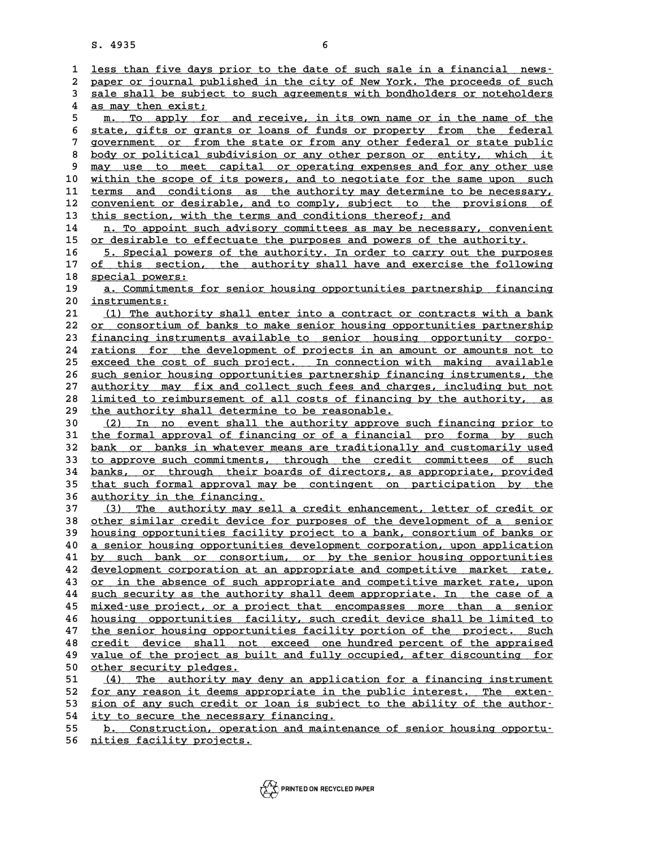|                  | 6<br>S. 4935                                                                                                                                               |  |  |  |  |
|------------------|------------------------------------------------------------------------------------------------------------------------------------------------------------|--|--|--|--|
|                  |                                                                                                                                                            |  |  |  |  |
| $\mathbf{1}$     | less than five days prior to the date of such sale in a financial news-                                                                                    |  |  |  |  |
| $\boldsymbol{2}$ | paper or journal published in the city of New York. The proceeds of such                                                                                   |  |  |  |  |
| 3                | sale shall be subject to such agreements with bondholders or noteholders                                                                                   |  |  |  |  |
| 4                | as may then exist;                                                                                                                                         |  |  |  |  |
| 5                | To apply for and receive, in its own name or in the name of the<br>m.                                                                                      |  |  |  |  |
| 6<br>7           | state, gifts or grants or loans of funds or property from the federal<br>government or from the state or from any other federal or state public            |  |  |  |  |
| 8                | body or political subdivision or any other person or entity, which it                                                                                      |  |  |  |  |
| 9                | may use to meet capital or operating expenses and for any other use                                                                                        |  |  |  |  |
| 10               | within the scope of its powers, and to negotiate for the same upon such                                                                                    |  |  |  |  |
| 11               | terms and conditions as the authority may determine to be necessary,                                                                                       |  |  |  |  |
| 12               | convenient or desirable, and to comply, subject to the provisions of                                                                                       |  |  |  |  |
| 13               | this section, with the terms and conditions thereof; and                                                                                                   |  |  |  |  |
| 14               | n. To appoint such advisory committees as may be necessary, convenient                                                                                     |  |  |  |  |
| 15               | or desirable to effectuate the purposes and powers of the authority.                                                                                       |  |  |  |  |
| 16               | 5. Special powers of the authority. In order to carry out the purposes                                                                                     |  |  |  |  |
| 17               | of this section, the authority shall have and exercise the following                                                                                       |  |  |  |  |
| 18               | special powers:                                                                                                                                            |  |  |  |  |
| 19               | a. Commitments for senior housing opportunities partnership financing                                                                                      |  |  |  |  |
| 20               | instruments:                                                                                                                                               |  |  |  |  |
| 21               | (1) The authority shall enter into a contract or contracts with a bank                                                                                     |  |  |  |  |
| 22               | or consortium of banks to make senior housing opportunities partnership                                                                                    |  |  |  |  |
| 23               | financing instruments available to senior housing opportunity corpo-                                                                                       |  |  |  |  |
| 24<br>25         | rations for the development of projects in an amount or amounts not to<br>exceed the cost of such project. In connection with making available             |  |  |  |  |
| 26               | such senior housing opportunities partnership financing instruments, the                                                                                   |  |  |  |  |
| 27               | authority may fix and collect such fees and charges, including but not                                                                                     |  |  |  |  |
| 28               | limited to reimbursement of all costs of financing by the authority, as                                                                                    |  |  |  |  |
| 29               | the authority shall determine to be reasonable.                                                                                                            |  |  |  |  |
| 30               | (2)<br>In no event shall the authority approve such financing prior to                                                                                     |  |  |  |  |
| 31               | the formal approval of financing or of a financial pro forma by such                                                                                       |  |  |  |  |
| 32               | bank or banks in whatever means are traditionally and customarily used                                                                                     |  |  |  |  |
| 33               | to approve such commitments, through the credit committees of such                                                                                         |  |  |  |  |
| 34               | banks, or through their boards of directors, as appropriate, provided                                                                                      |  |  |  |  |
| 35               | that such formal approval may be contingent on participation by the                                                                                        |  |  |  |  |
| 36               | authority in the financing.                                                                                                                                |  |  |  |  |
| 37               | The authority may sell a credit enhancement, letter of credit or<br>(3)                                                                                    |  |  |  |  |
| 38<br>39         | <u>other similar credit device for purposes of the development of a senior</u><br>housing opportunities facility project to a bank, consortium of banks or |  |  |  |  |
| 40               | a senior housing opportunities development corporation, upon application                                                                                   |  |  |  |  |
| 41               | by such bank or consortium, or by the senior housing opportunities                                                                                         |  |  |  |  |
| 42               | development corporation at an appropriate and competitive market rate,                                                                                     |  |  |  |  |
| 43               | or in the absence of such appropriate and competitive market rate, upon                                                                                    |  |  |  |  |
| 44               | such security as the authority shall deem appropriate. In the case of a                                                                                    |  |  |  |  |
| 45               | mixed-use project, or a project that encompasses more than a senior                                                                                        |  |  |  |  |
| 46               | housing opportunities facility, such credit device shall be limited to                                                                                     |  |  |  |  |
| 47               | the senior housing opportunities facility portion of the project. Such                                                                                     |  |  |  |  |
| 48               | credit device shall not exceed one hundred percent of the appraised                                                                                        |  |  |  |  |
| 49               | value of the project as built and fully occupied, after discounting for                                                                                    |  |  |  |  |
| 50               | other security pledges.                                                                                                                                    |  |  |  |  |
| 51               | The authority may deny an application for a financing instrument<br>(4)                                                                                    |  |  |  |  |
| 52               | for any reason it deems appropriate in the public interest. The exten-                                                                                     |  |  |  |  |
| 53               | sion of any such credit or loan is subject to the ability of the author-                                                                                   |  |  |  |  |
| 54               | ity to secure the necessary financing.                                                                                                                     |  |  |  |  |
| 55<br>$\epsilon$ | b. Construction, operation and maintenance of senior housing opportu-<br>nitiad faailitu prajaata                                                          |  |  |  |  |

56 nities facility projects.

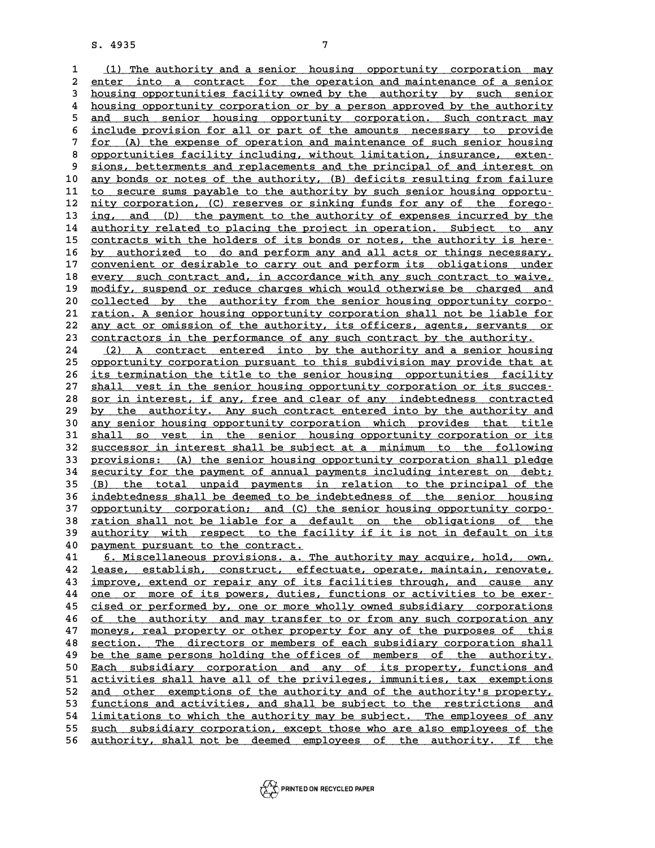**1**<br> **1** (1) The authority and a senior housing opportunity corporation may<br> **2** opter inte a contract for the operation and maintenance of a conjor 2 <u>(1) The authority and a senior housing opportunity corporation may</u><br>2 <u>enter into a contract for the operation and maintenance of a senior</u><br>3 bousing opportunities facility oyned by the authority, by such senior 1 (1) The authority and a senior housing opportunity corporation may<br>
2 enter into a contract for the operation and maintenance of a senior<br>
3 housing opportunities facility owned by the authority by such senior<br>
4 housing 2 enter into a contract for the operation and maintenance of a senior<br> **housing opportunities facility owned by the authority** by such senior<br> **housing opportunity corporation or by a person approved by the authority**<br>
and **5** housing opportunities facility owned by the authority by such senior<br> **4** housing opportunity corporation or by a person approved by the authority<br> **3** and such senior housing opportunity corporation. Such contract may 4 housing opportunity corporation or by a person approved by the authority<br>
5 and such senior housing opportunity corporation. Such contract may<br>
<u>include provision for all or part of the amounts necessary to provide</u><br>  $\frac$ 5 and such senior housing opportunity corporation. Such contract may<br>6 include provision for all or part of the amounts necessary to provide<br>7 for (A) the expense of operation and maintenance of such senior housing<br>8 oppor 6 <u>include provision for all or part of the amounts necessary to provide<br>
7 for (A) the expense of operation and maintenance of such senior housing<br>
8 opportunities facility including, without limitation, insurance, exten-</u> **9 for (A) the expense of operation and maintenance of such senior housing<br>
8 opportunities facility including, without limitation, insurance, exten-<br>
9 sions, betterments and replacements and the principal of and interest** 8 opportunities facility including, without limitation, insurance, exten-<br>9 sions, betterments and replacements and the principal of and interest on<br>10 <u>any bonds or notes of the authority</u>, (B) deficits resulting from fai 9 sions, betterments and replacements and the principal of and interest on<br>
10 any bonds or notes of the authority, (B) deficits resulting from failure<br>
11 to secure sums payable to the authority by such senior housing opp any bonds or notes of the authority, (B) deficits resulting from failure<br>
11 to secure sums payable to the authority by such senior housing opportu-<br>
12 nity corporation, (C) reserves or sinking funds for any of the forego 11 to secure sums payable to the authority by such senior housing opportu-<br>
12 <u>nity corporation, (C)</u> reserves or sinking funds for any of the forego-<br>
13 <u>ing, and (D)</u> the payment to the authority of expenses incurred b 12 <u>nity corporation, (C) reserves or sinking funds for any of the forego-</u><br>13 <u>ing, and (D) the payment to the authority of expenses incurred by the</u><br>14 <u>authority related to placing the project in operation. Subject to a</u> ing, and (D) the payment to the authority of expenses incurred by the<br>
14 authority related to placing the project in operation. Subject to any<br>
15 <u>contracts with the holders of its bonds or notes, the authority is here</u>authority related to placing the project in operation. Subject to any contracts with the holders of its bonds or notes, the authority is here-<br>
16 <u>by authorized to do and perform any and all acts or things necessary,</u><br>
20 contracts with the holders of its bonds or notes, the authority is here-<br>
<u>by authorized to do and perform any and all acts or things necessary,</u><br>
<u>convenient or desirable to carry out and perform its obligations under</u><br>
c by authorized to do and perform any and all acts or things necessary,<br>
17 <u>convenient or desirable to carry out and perform its obligations under<br>
20 every such contract and, in accordance with any such contract to waive,<br></u> 17 convenient or desirable to carry out and perform its obligations under<br>18 <u>every such contract and, in accordance with any such contract to waive,</u><br>19 <u>modify, suspend or reduce charges which would otherwise be charged </u> every such contract and, in accordance with any such contract to waive,<br>
20 <u>modify, suspend or reduce charges which would otherwise be charged and</u><br>
20 <u>collected</u> by the authority from the senior housing opportunity corp modify, suspend or reduce charges which would otherwise be charged and<br>20 <u>collected by the authority from the senior housing opportunity corporation. A senior housing opportunity corporation shall not be liable for<br>22 apu</u> collected by the authority from the senior housing opportunity corpo-<br>21 <u>ration. A senior housing opportunity corporation shall not be liable for</u><br>22 <u>any act or omission of the authority, its officers, agents, servants o</u> 21 <u>ration. A senior housing opportunity corporation shall not be liable for</u><br>22 <u>any act or omission of the authority, its officers, agents, servants or</u><br>23 <u>contractors in the performance of any such contract by the auth</u> 22 any act or omission of the authority, its officers, agents, servants or<br>23 contractors in the performance of any such contract by the authority.<br>24 (2) A contract entered into by the authority and a senior housing<br>25 co 23 contractors in the performance of any such contract by the authority.<br>
24 (2) A contract entered into by the authority and a senior housing<br>
25 opportunity corporation pursuant to this subdivision may provide that at<br>
2 24 (2) A contract entered into by the authority and a senior housing<br>25 opportunity corporation pursuant to this subdivision may provide that at<br>26 <u>its termination the title to the senior housing opportunities facility</u><br>2 25 <u>opportunity corporation pursuant to this subdivision may provide that at</u><br>26 <u>its termination the title to the senior housing opportunities facility</u><br>27 shall vest in the senior housing opportunity corporation or its s its termination the title to the senior housing opportunities facility<br>
27 shall vest in the senior housing opportunity corporation or its succes-<br>
28 sor in interest, if any, free and clear of any indebtedness contracted<br> **27** shall vest in the senior housing opportunity corporation or its success-<br>
28 sor in interest, if any, free and clear of any indebtedness contracted<br>
29 by the authority. Any such contract entered into by the authority **30 sor in interest, if any, free and clear of any indebtedness contracted**<br> **by the authority.** Any such contract entered into by the authority and<br> **any senior housing opportunity corporation which provides that title**<br>

by the authority. Any such contract entered into by the authority and<br>
30 any senior housing opportunity corporation which provides that title<br>
31 shall so vest in the senior housing opportunity corporation or its<br>
32 sugg 30 <u>any senior housing opportunity corporation which provides that title</u><br>31 <u>shall so vest in the senior housing opportunity corporation or its</u><br>32 <u>successor in interest shall be subject at a minimum to the following</u><br>33 31 <u>shall so vest in the senior housing opportunity corporation or its</u><br>32 <u>successor in interest shall be subject at a minimum to the following</u><br>33 <u>provisions: (A) the senior housing opportunity corporation shall pledge</u> 32 <u>successor in interest shall be subject at a minimum to the following<br>33 provisions: (A) the senior housing opportunity corporation shall pledge<br>34 security for the payment of annual payments including interest on debt;</u> **33** provisions: (A) the senior housing opportunity corporation shall pledge<br>34 security for the payment of annual payments including interest on debt;<br>35 (B) the total unpaid payments in relation to the principal of the<br>i **34** security for the payment of annual payments including interest on debt;<br>
<u>(B) the total unpaid payments in relation to the principal of the</u><br> **indebtedness shall be deemed to be indebtedness of the senior housing**<br> **i** 35 (B) the total unpaid payments in relation to the principal of the indebtedness shall be deemed to be indebtedness of the senior housing opportunity corporation; and (C) the senior housing opportunity corpo-<br>
22 option s 36 indebtedness shall be deemed to be indebtedness of the senior housing<br>37 <u>opportunity corporation;</u> and (C) the senior housing opportunity corpo-<br>38 <u>ration shall not be liable for a default on the obligations of the</u><br>3 37 opportunity corporation; and (C) the senior housing opportunity corpo-<br>38 <u>ration shall not be liable for a default on the obligations of the</u><br>39 <u>authority with respect to the facility if it is not in default on its</u><br>2 38 <u>ration shall not be liable for a default on the obligations of the authority with respect to the facility if it is not in default on its payment pursuant to the contract.<br>40 payment pursuant to the contract.<br>41 6. Misc</u>

**41** 6. Miscellaneous provisions. a. The authority may acquire, hold, own,<br>**42** lease, establish, construct, effectuate, operate, maintain, renovate, **42** <u>lease, establish, construct, effectuate, operate, maintain, renovate, <br>43 improve, extend or repair any of its facilities through, and cause any</u> **43** <u>improve, extend or repair any of its facilities through, and cause any <br>44 one or more of its powers, duties, functions or activities to be exer-</u> **42 <u>lease, establish, construct</u>, effectuate, operate, maintain, renovate, improve, extend or repair any of its facilities through, and cause any one or more of its powers, duties, functions or activities to be exer-**<br>44 **43** improve, extend or repair any of its facilities through, and cause any<br>
<u>one or more of its powers, duties, functions or activities to be exer-</u><br>
<u>cised or performed by, one or more wholly owned subsidiary corporation</u> one or more of its powers, duties, functions or activities to be exercised or performed by, one or more wholly owned subsidiary corporations<br>  $\frac{1}{2}$  of the authority and may transfer to or from any such corporation any<br> 45 cised or performed by, one or more wholly owned subsidiary corporations<br>46 of the authority and may transfer to or from any such corporation any<br>47 moneys, real property or other property for any of the purposes of this of the authority and may transfer to or from any such corporation any<br>  $\frac{1}{4}$  moneys, real property or other property for any of the purposes of this<br>  $\frac{1}{4}$ <br>  $\frac{1}{4}$ <br>  $\frac{1}{4}$ <br>  $\frac{1}{4}$ <br>  $\frac{1}{4}$ <br>  $\frac{1}{4}$ <br>  $\$ **47** <u>moneys, real property or other property for any of the purposes of this</u><br>48 <u>section. The directors or members of each subsidiary corporation shall</u><br>29 be the same persons holding the offices of members of the author **50 <u>Each subsidiary corporation and any of its property, functions and**<br> **50 <u>Each subsidiary corporation and any of its property, functions and**<br> **51 activities shall have all of the privileges, immunities, tax exemption**</u></u> be the same persons holding the offices of members of the authority.<br>
50 <u>Each subsidiary corporation and any of its property, functions and activities shall have all of the privileges, immunities, tax exemptions<br>
52 and o</u> Each subsidiary corporation and any of its property, functions and activities shall have all of the privileges, immunities, tax exemptions and other exemptions of the authority and of the authority's property, functions an 51 <u>activities shall have all of the privileges, immunities, tax exemptions</u><br>52 <u>and other exemptions of the authority</u> and of the authority's property,<br>53 <u>functions and activities, and shall be subject to the restriction</u> 52 <u>and other exemptions of the authority and of the authority's property,</u><br>53 <u>functions and activities, and shall be subject to the restrictions and<br>54 <u>limitations to which the authority may be subject. The employees of</u></u> <u>functions and activities, and shall be subject to the restrictions and<br>54 limitations to which the authority may be subject. The employees of any<br><u>such subsidiary corporation, except those who are also employees of the</u><br>t</u> 54 <u>limitations to which the authority may be subject. The employees of any<br>55 <u>such subsidiary corporation, except those who are also employees of the</u><br>56 <u>authority, shall not be deemed employees of the authority. If the</u></u>

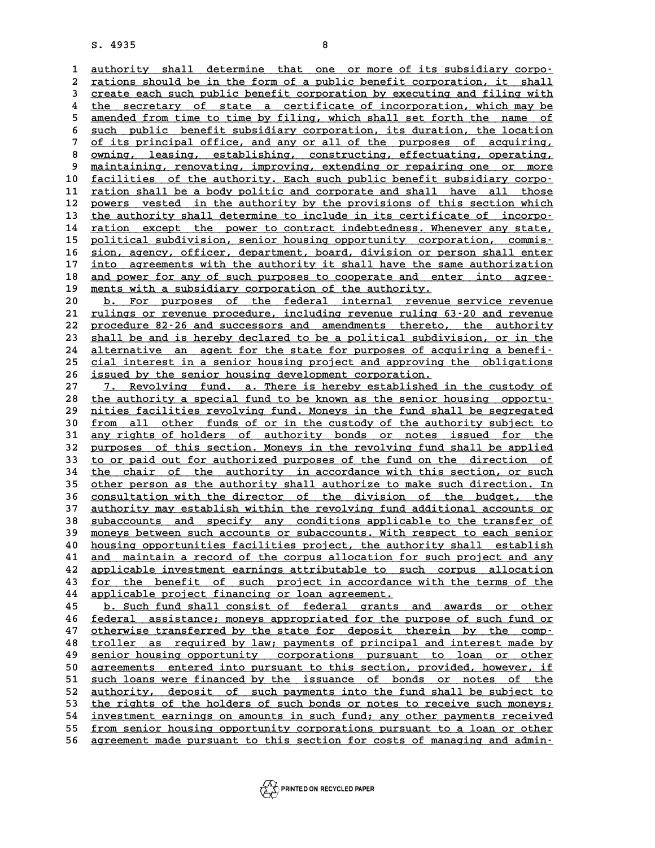8. 4935<br>1 <u>authority shall determine that one or more of its subsidiary corpo-</u><br>2 rations should be in the form of a publis bonefit corporation it, shall 2 <u>authority shall determine that one or more of its subsidiary corpo-</u><br>2 <u>rations should be in the form of a public benefit corporation, it shall</u><br>3 create each such public benefit corporation by executing and filing with 3 <u>create each such determine that one or more of its subsidiary corporations should be in the form of a public benefit corporation, it shall<br>3 create each such public benefit corporation by executing and filing with<br>4 the</u> 2 <u>rations should be in the form of a public benefit corporation, it shall</u><br>3 <u>create each such public benefit corporation by executing and filing with</u><br>4 <u>the secretary of state a certificate of incorporation, which may b</u> Freate each such public benefit corporation by executing and filing with<br>
the secretary of state a certificate of incorporation, which may be<br>
<u>amended from time to time by filing, which shall set forth the name of</u><br>
guch the secretary of state a certificate of incorporation, which may be<br>
<u>amended from time to time by filing, which shall set forth the name of<br>
such public benefit subsidiary corporation, its duration, the location<br>
of its p</u> 5 <u>amended from time to time by filing, which shall set forth the name of</u><br>6 <u>such public benefit subsidiary corporation, its duration, the location</u><br>7 <u>of its principal office, and any or all of the purposes of acquiring,</u> 8 <u>such public benefit subsidiary corporation, its duration, the location</u><br>
2 <u>of its principal office, and any or all of the purposes of acquiring,<br>
8 owning, leasing, establishing, constructing, effectuating, operating,<br></u> 9 <u>of its principal office, and any or all of the purposes of acquiring,  $\frac{1}{2}$  owning, leasing, establishing, constructing, effectuating, operating,  $\frac{1}{2}$  maintaining, renovating, improving, extending or repairing </u> 8 <u>owning, leasing, establishing, constructing, effectuating, operating, maintaining, renovating, improving, extending or repairing one or more<br>10 <u>facilities of the authority. Each such public benefit subsidiary corpo-</u><br>1</u> 9 <u>maintaining, renovating, improving, extending or repairing one or more</u><br>
10 <u>facilities of the authority. Each such public benefit subsidiary corporation shall be a body politic and corporate and shall have all those<br>
1</u> 10 <u>facilities of the authority. Each such public benefit subsidiary corporations hall be a body politic and corporate and shall have all those powers vested in the authority by the provisions of this section which the aut</u> 12 <u>powers vested in the authority by the provisions of this section which</u><br>13 <u>the authority shall determine to include in its certificate of incorpo-</u><br>14 ration except the power to contract indebtedness. Whenever any sta 14 ration except the power to contract indebtedness. Whenever any state,<br>15 political subdivision, senior housing opportunity corporation, commis-15 <u>political subdivision, senior housing opportunity corporation, commis-</u><br>16 sion, agency, officer, department, board, division or person shall enter 14 <u>ration except the power to contract indebtedness. Whenever any state,</u><br>15 <u>political subdivision, senior housing opportunity corporation, commis-</u><br>16 <u>sion, agency, officer, department, board, division or person shall </u> political subdivision, senior housing opportunity corporation, commis-<br>16 <u>sion, agency, officer, department, board, division or person shall enter</u><br>17 <u>into agreements with the authority it shall have the same authorizati</u> **16** sion, agency, officer, department, board, division or person shall enter<br> **17** into agreements with the authority it shall have the same authorization<br> **and power for any of such purposes to cooperate and enter into a** 17 into agreements with the authority it shall have the same authorization<br>
18 and power for any of such purposes to cooperate and enter into agree-<br>
19 ments with a subsidiary corporation of the authority.<br>
20 b. For purp and power for any of such purposes to cooperate and enter into agree-<br>
<u>20 b. For purposes of the federal internal revenue service revenue</u><br>
21 rulings or revenue procedure, including revenue ruling 63-20 and revenue

21 <u>rulings or revenue procedure, including revenue ruling 63-20 and revenue<br>22 procedure 82-26 and successors and amendments thereto, the authority</u> **20 b.** For purposes of the federal internal revenue service revenue<br> **21** <u>rulings or revenue procedure, including revenue ruling 63-20 and revenue</u><br> **22** <u>procedure 82-26</u> and successors and amendments thereto, the au 21 <u>rulings or revenue procedure, including revenue ruling 63-20 and revenue<br>22 procedure 82-26 and successors and amendments thereto, the authority<br>23 shall be and is hereby declared to be a political subdivision, or in t</u> 22 procedure 82-26 and successors and amendments thereto, the authority<br>
23 shall be and is hereby declared to be a political subdivision, or in the<br>
24 alternative an agent for the state for purposes of acquiring a benefi 23 shall be and is hereby declared to be a political subdivision, or in the alternative an agent for the state for purposes of acquiring a benefitions cial interest in a senior housing project and approving the obligations 24 <u>alternative an agent for the state for purposes of acq</u><br>25 <u>cial interest in a senior housing project and approving</u><br>26 <u>issued by the senior housing development corporation.</u><br>27 **.** Poveluing fund a There is bereby es 25 cial interest in a senior housing project and approving the obligations<br>26 <u>issued by the senior housing development corporation.</u><br>27 7. Revolving fund. a. There is hereby established in the custody of<br>28 the authority

28 the authority a special fund to be known as the senior housing opportu-<br>29 nities facilities revolving fund. Moneys in the fund shall be segregated 29 <u>nities facilities revolving fund. Moneys in the fund shall be segregated</u><br>30 from all other funds of or in the custody of the authority subject to 30 <u>from all other funds of or in the custody of the authority subject to</u><br>31 any rights of holders of authority bonds or notes issued for the at the fund shall be segregated<br> **30** <u>from all other funds of or in the custody of the authority subject to<br> **31** any rights of holders of authority bonds or notes issued for the<br>
purposes of this section Menous in the re</u> **30** from all other funds of or in the custody of the authority subject to any rights of holders of authority bonds or notes issued for the purposes of this section. Moneys in the revolving fund shall be applied to or paid 31 any rights of holders of authority bonds or notes issued for the<br>32 purposes of this section. Moneys in the revolving fund shall be applied<br>33 to or paid out for authorized purposes of the fund on the direction of<br><sup>34</sup> 32 <u>purposes of this section. Moneys in the revolving fund shall be applied</u><br>33 <u>to or paid out for authorized purposes of the fund on the direction of</u><br>34 <u>the chair of the authority in accordance with this section, or su</u> 35 <u>other person as the authority shall authorize to make such direction. In 36</u> consultation with the director of the division of the budget, the 34 the chair of the authority in accordance with this section, or such<br>35 other person as the authority shall authorize to make such direction. In<br>36 <u>consultation with the director of the division of the budget, the</u><br>37 s 35 other person as the authority shall authorize to make such direction. In<br>36 <u>consultation with the director of the division of the budget, the</u><br>37 <u>authority may establish within the revolving fund additional accounts o</u> 36 <u>consultation with the director of the division of the budget, the</u><br>37 <u>authority may establish within the revolving fund additional accounts or</u><br>38 <u>subaccounts and specify any conditions applicable to the transfer of</u> 37 <u>authority may establish within the revolving fund additional accounts or subaccounts and specify any conditions applicable to the transfer of moneys between such accounts or subaccounts. With respect to each senior hou</u> **40 housing opportunities facilities project, the authority shall establish \_\_\_\_\_\_\_\_\_\_\_\_\_\_\_\_\_\_\_\_\_\_\_\_\_\_\_\_\_\_\_\_\_\_\_\_\_\_\_\_\_\_\_\_\_\_\_\_\_\_\_\_\_\_\_\_\_\_\_\_\_\_\_\_\_\_\_\_\_\_\_\_** moneys between such accounts or subaccounts. With respect to each senior<br>40 <u>housing opportunities facilities project</u>, the authority shall establish<br>41 and maintain a record of the corpus allocation for such project and a A posing opportunities facilities project, the authority shall establish<br>
41 and maintain a record of the corpus allocation for such project and any<br>
42 applicable investment earnings attributable to such corpus allocation 41 and maintain a record of the corpus allocation for such project and any<br>42 applicable investment earnings attributable to such corpus allocation<br>43 <u>for the benefit of such project in accordance with the terms of the</u><br>2 applicable investment earnings attributable to such corpus allocation<br> **43** for the benefit of such project in accordance with the terms of the<br> **44** applicable project financing or loan agreement.<br> **45** b. Such fund shall **43** <u>for the benefit of such project in accordance with the terms of the</u><br> **44** applicable project financing or loan agreement.<br>
<u>**45** b. Such fund shall consist of federal grants and awards or other</u><br> **46** federal accide

**44** applicable project financing or loan agreement.<br> **45 b.** Such fund shall consist of federal grants and awards or other<br> **46** <u>federal assistance; moneys appropriated for the purpose of such fund or</u><br> **47** otherwise **45 b. Such fund shall consist of federal grants and awards or other<br>46 <u>federal assistance; moneys appropriated for the purpose of such fund or<br>47 otherwise transferred by the state for deposit therein by the comp-**<br>trail</u> for the purpose of such fund or<br>
48 <u>otherwise transferred by the state for deposit therein by the comp-</u><br>
48 <u>troller as required by law</u>; payments of principal and interest made by<br>
49 senior housing opportunity corporat otherwise transferred by the state for deposit therein by the comp-<br>
48 troller as required by law; payments of principal and interest made by<br>
<u>senior housing opportunity</u> corporations pursuant to loan or other<br>
arrogents **50 agreements enterproducer and interest made by<br>
<b>50** <u>agreements</u> entered into pursuant to this section, provided, however, if<br>
and loans were financed by the issuance of bonds or potes of the **50** senior housing opportunity corporations pursuant to loan or other<br>50 agreements entered into pursuant to this section, provided, however, if<br>51 such loans were financed by the issuance of bonds or notes of the<br>52 suth 50 <u>agreements entered into pursuant to this section, provided, however, if such loans were financed by the issuance of bonds or notes of the authority, deposit of such payments into the fund shall be subject to the rights</u> 51 <u>such loans were financed by the issuance of bonds or notes of the authority, deposit of such payments into the fund shall be subject to the rights of the holders of such bonds or notes to receive such moneys;<br><sup>54</sup> inve</u> 52 <u>authority, deposit of such payments into the fund shall be subject to<br>53 the rights of the holders of such bonds or notes to receive such moneys;<br>54 investment earnings on amounts in such fund; any other payments recei</u> the rights of the holders of such bonds or notes to receive such moneys;<br>
investment earnings on amounts in such fund; any other payments received<br>
from senior housing opportunity corporations pursuant to a loan or other<br> 54 <u>investment earnings on amounts in such fund; any other payments received<br>55 from senior housing opportunity corporations pursuant to a loan or other<br>56 agreement made pursuant to this section for costs of managing and </u>

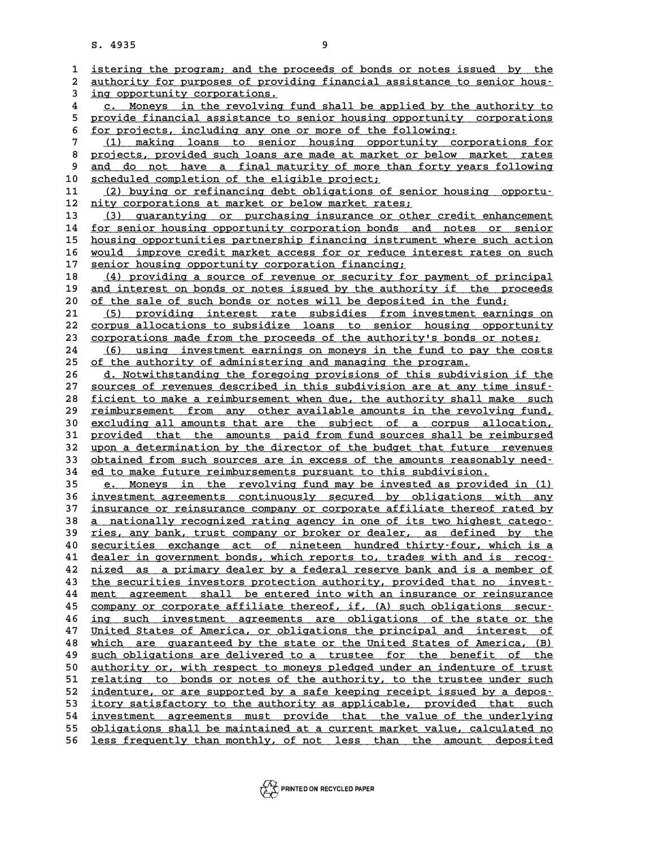|                         | S. 4935                                                                                                                                      | 9                                                                      |
|-------------------------|----------------------------------------------------------------------------------------------------------------------------------------------|------------------------------------------------------------------------|
| 1                       | istering the program; and the proceeds of bonds or notes issued by the                                                                       |                                                                        |
| 2                       | authority for purposes of providing financial assistance to senior hous-                                                                     |                                                                        |
| 3                       | ing opportunity corporations.                                                                                                                |                                                                        |
| $\overline{\mathbf{4}}$ |                                                                                                                                              | c. Moneys in the revolving fund shall be applied by the authority to   |
| 5                       | provide financial assistance to senior housing opportunity corporations                                                                      |                                                                        |
| 6                       | for projects, including any one or more of the following:                                                                                    |                                                                        |
| 7                       | (1)                                                                                                                                          | making loans to senior housing opportunity corporations for            |
| 8                       | projects, provided such loans are made at market or below market rates                                                                       |                                                                        |
| 9                       | and                                                                                                                                          | do not have a final maturity of more than forty years following        |
| 10                      | scheduled completion of the eligible project;                                                                                                |                                                                        |
| 11                      |                                                                                                                                              | (2) buying or refinancing debt obligations of senior housing opportu-  |
| 12                      | nity corporations at market or below market rates;                                                                                           |                                                                        |
| 13                      |                                                                                                                                              | (3) guarantying or purchasing insurance or other credit enhancement    |
| 14                      | for senior housing opportunity corporation bonds and notes or senior                                                                         |                                                                        |
| 15                      | housing opportunities partnership financing instrument where such action                                                                     |                                                                        |
| 16                      | would improve credit market access for or reduce interest rates on such                                                                      |                                                                        |
| 17                      | senior housing opportunity corporation financing;                                                                                            |                                                                        |
| 18<br>19                |                                                                                                                                              | (4) providing a source of revenue or security for payment of principal |
| 20                      | and interest on bonds or notes issued by the authority if the proceeds<br>of the sale of such bonds or notes will be deposited in the fund;  |                                                                        |
| 21                      |                                                                                                                                              | (5) providing interest rate subsidies from investment earnings on      |
| 22                      | corpus allocations to subsidize loans to senior housing opportunity                                                                          |                                                                        |
| 23                      | corporations made from the proceeds of the authority's bonds or notes;                                                                       |                                                                        |
| 24                      | (6)                                                                                                                                          | using investment earnings on moneys in the fund to pay the costs       |
| 25                      | of the authority of administering and managing the program.                                                                                  |                                                                        |
| 26                      |                                                                                                                                              | d. Notwithstanding the foregoing provisions of this subdivision if the |
| 27                      | sources of revenues described in this subdivision are at any time insuf-                                                                     |                                                                        |
| 28                      | ficient to make a reimbursement when due, the authority shall make such                                                                      |                                                                        |
| 29                      | reimbursement from any other available amounts in the revolving fund,                                                                        |                                                                        |
| 30                      | excluding all amounts that are the subject of a corpus allocation,                                                                           |                                                                        |
| 31                      | provided that the amounts paid from fund sources shall be reimbursed                                                                         |                                                                        |
| 32                      | upon a determination by the director of the budget that future revenues                                                                      |                                                                        |
| 33<br>34                | obtained from such sources are in excess of the amounts reasonably need-<br>ed to make future reimbursements pursuant to this subdivision.   |                                                                        |
| 35                      |                                                                                                                                              | e. Moneys in the revolving fund may be invested as provided in (1)     |
| 36                      | investment agreements continuously secured by obligations with any                                                                           |                                                                        |
| 37                      | insurance or reinsurance company or corporate affiliate thereof rated by                                                                     |                                                                        |
| 38                      | <u>a nationally recognized rating agency in one of its two highest catego-</u>                                                               |                                                                        |
| 39                      | ries, any bank, trust company or broker or dealer, as defined by the                                                                         |                                                                        |
| 40                      | securities exchange act of nineteen hundred thirty-four, which is a                                                                          |                                                                        |
| 41                      | dealer in government bonds, which reports to, trades with and is recog-                                                                      |                                                                        |
| 42                      | nized as a primary dealer by a federal reserve bank and is a member of                                                                       |                                                                        |
| 43                      | the securities investors protection authority, provided that no invest-                                                                      |                                                                        |
| 44                      | ment agreement shall be entered into with an insurance or reinsurance                                                                        |                                                                        |
| 45                      | company or corporate affiliate thereof, if, (A) such obligations secur-                                                                      |                                                                        |
| 46                      | ina                                                                                                                                          | such investment agreements are obligations of the state or the         |
| 47                      | United States of America, or obligations the principal and interest of                                                                       |                                                                        |
| 48<br>49                | which are quaranteed by the state or the United States of America, (B)<br>such obligations are delivered to a trustee for the benefit of the |                                                                        |
| 50                      | authority or, with respect to moneys pledged under an indenture of trust                                                                     |                                                                        |
| 51                      | relating to bonds or notes of the authority, to the trustee under such                                                                       |                                                                        |
| 52                      | indenture, or are supported by a safe keeping receipt issued by a depos-                                                                     |                                                                        |
| 53                      | itory satisfactory to the authority as applicable, provided that such                                                                        |                                                                        |
| 54                      | investment agreements must provide that the value of the underlying                                                                          |                                                                        |
| 55                      | obligations shall be maintained at a current market value, calculated no                                                                     |                                                                        |
| 56                      | less frequently than monthly, of not less than the amount deposited                                                                          |                                                                        |
|                         |                                                                                                                                              |                                                                        |

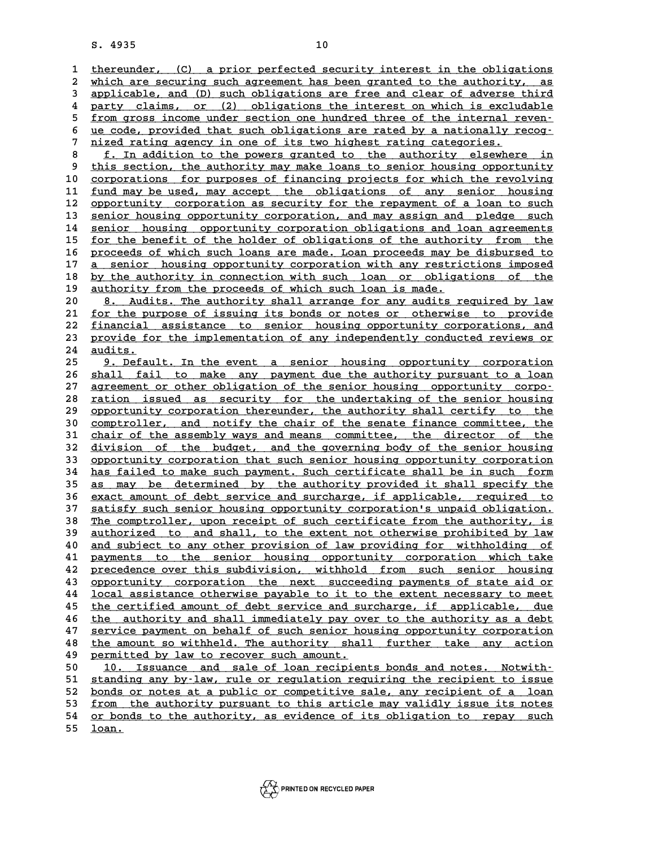**10**<br> **1** thereunder, (C) a prior perfected security interest in the obligations<br>
<sup>2</sup> which are securing such agreement has been granted to the authority as 2 thereunder, (C) a prior perfected security interest in the obligations<br>2 which are securing such agreement has been granted to the authority, as<br>3 applicable and (D) such obligations are free and clear of adverse third the intertable to the obligations<br>
2 which are securing such agreement has been granted to the authority, as<br>
3 applicable, and (D) such obligations are free and clear of adverse third<br>
4 party claims, or (2) obligations t which are securing such agreement has been granted to the authority, as<br>applicable, and (D) such obligations are free and clear of adverse third<br>party claims, or (2) obligations the interest on which is excludable<br>from gro 3 applicable, and (D) such obligations are free and clear of adverse third<br>
4 party claims, or (2) obligations the interest on which is excludable<br>
<u>from gross income under section one hundred three of the internal reven-</u> 4 party claims, or (2) obligations the interest on which is excludable<br>
<u>from gross income under section one hundred three of the internal reven-</u><br>
<u>ue code, provided that such obligations are rated by a nationally recog-</u> 5 <u>from gross income under section one hundred three of the internal reven-<br>6 <u>ue code, provided that such obligations are rated by a nationally recog-</u><br><u>nized rating agency in one of its two highest rating categories.</u><br>**6</u>** 8 <u>ue code, provided that such obligations are rated by a nationally recog-<br>
7 nized rating agency in one of its two highest rating categories.<br>
<u>5 f. In addition to the powers granted to the authority elsewhere in</u><br>
9 thi</u>

9 this section, the authority may make loans to senior housing opportunity<br>10 corporations for purposes of financing projects for which the revolving 10 **10 corporations for purposes of financing projects for which the revolving**<br>
10 <u>corporations for purposes of financing projects for which the revolving</u><br>
11 fund may be used may aggent the obligations of any senior bu 9 this section, the authority may make loans to senior housing opportunity<br>10 <u>corporations for purposes of financing</u> projects for which the revolving<br>11 <u>fund may be used, may accept the obligations of any senior housing</u> corporations for purposes of financing projects for which the revolving<br>
11 <u>fund may be used, may accept the obligations of any senior housing</u><br>
12 <u>opportunity corporation as security for the repayment of a loan to such</u> 11 <u>fund may be used, may accept the obligations of any senior housing</u><br>12 <u>opportunity corporation as security for the repayment of a loan to such</u><br>13 <u>senior housing opportunity corporation</u>, and may assign and pledge su 12 <u>opportunity corporation as security for the repayment of a loan to such</u><br>13 <u>senior housing opportunity corporation</u>, and may assign and pledge such<br>14 <u>senior housing opportunity corporation obligations and loan agree</u> 15 <u>for the benefit of the holder of obligations of the authority from the</u><br>16 proceeds of which such loans are made. Loan proceeds may be disbursed to 14 <u>senior housing opportunity corporation obligations and loan agreements</u><br>15 <u>for the benefit of the holder of obligations of the authority from the</u><br>16 <u>proceeds of which such loans are made. Loan proceeds may be disbur</u> **15** <u>for the benefit of the holder of obligations of the authority from the proceeds of which such loans are made. Loan proceeds may be disbursed to a senior housing opportunity corporation with any restrictions imposed b</u> **16** proceeds of which such loans are made. Loan proceeds may be disbursed to<br> **a** senior housing opportunity corporation with any restrictions imposed<br> **by the authority in connection with such loan or obligations of the** 17 <u>a senior housing opportunity corporation with any restrictions imposed<br>18 by the authority in connection with such loan or obligations of the<br>19 authority from the proceeds of which such loan is made.<br>20 8. Audits. The</u> by the authority in connection with such loan or obligations of the<br> **20** <u>8. Audits. The authority shall arrange for any audits required by law</u><br>
21 for the purpose of issuing its bonds or potes or otherwise to provide

authority from the proceeds of which such loan is made.<br>
20 <u>8. Audits. The authority shall arrange for any audits required by law</u><br>
21 <u>for the purpose of issuing its bonds or notes or otherwise to provide</u><br>
22 financial 8. Audits. The authority shall arrange for any audits required by law<br>
21 <u>for the purpose of issuing its bonds or notes or otherwise to provide</u><br>
22 <u>financial assistance to senior housing opportunity corporations, and</u><br> 21 <u>for the purpose of issuing its bonds or notes or otherwise to provide<br>22 <u>financial assistance to senior housing opportunity corporations, and</u><br>23 provide for the implementation of any independently conducted reviews o</u> 22 <u>financial</u><br>23 <u>provide fo</u><br>24 <u>audits.</u> 23 <u>provide for the implementation of any independently conducted reviews or<br>24 <u>audits.</u><br>25 <u>9. Default. In the event a senior housing opportunity corporation</u><br>26 shall fail to make any payment due the authority pursuant </u>

**24 <u>audits.</u><br>25 9. Default. In the event a senior housing opportunity corporation<br>26 shall fail to make any payment due the authority pursuant to a loan<br>27 serecment or other chligation of the senior housing eppertunity c** 25 9. Default. In the event a senior housing opportunity corporation<br>
26 shall fail to make any payment due the authority pursuant to a loan<br>
27 agreement or other obligation of the senior housing opportunity corpo-<br>
28 pa 26 <u>shall fail to make any payment due the authority pursuant to a loan</u><br>27 <u>agreement or other obligation of the senior housing</u> opportunity corpo-<br>28 <u>ration issued as security for the undertaking of the senior housing</u><br> 27 <u>agreement or other obligation of the senior housing opportunity corporation issued as security for the undertaking of the senior housing opportunity corporation thereunder, the authority shall certify to the comptrolle</u> 30 <u>comptroller, and notify the chair of the senate finance committee, the</u><br>31 chair of the assembly ways and means committee, the director of the 39 opportunity corporation thereunder, the authority shall certify to the committer, and notify the chair of the senate finance committee, the chair of the assembly ways and means committee, the director of the director of **30** comptroller, and notify the chair of the senate finance committee, the chair of the assembly ways and means committee, the director of the division of the budget, and the governing body of the senior housing opportuni 31 <u>chair of the assembly ways and means committee, the director of the division of the budget, and the governing body of the senior housing opportunity corporation that such senior housing opportunity corporation<br>33 oppor</u> 32 <u>division of the budget, and the governing body of the senior housing</u><br>33 <u>opportunity corporation that such senior housing opportunity corporation</u><br>34 <u>has failed to make such payment. Such certificate shall be in such</u> 33 opportunity corporation that such senior housing opportunity corporation<br>34 has failed to make such payment. Such certificate shall be in such form<br>35 <u>as may be determined by the authority provided it shall specify the</u> **34** has failed to make such payment. Such certificate shall be in such form<br> **35** as may be determined by the authority provided it shall specify the<br>
<u>exact amount of debt service and surcharge, if applicable, required t</u> 35 as may be determined by the authority provided it shall specify the exact amount of debt service and surcharge, if applicable, required to satisfy such senior housing opportunity corporation's unpaid obligation. **36** exact amount of debt service and surcharge, if applicable, required to satisfy such senior housing opportunity corporation's unpaid obligation.<br>38 <u>The comptroller, upon receipt of such certificate from the authority,</u> 37 satisfy such senior housing opportunity corporation's unpaid obligation.<br>38 <u>The comptroller, upon receipt of such certificate from the authority, is<br>39 authorized to and shall, to the extent not otherwise prohibited by</u> The comptroller, upon receipt of such certificate from the authority, is<br> **40** <u>and subject to any other provision of law providing for withholding of</u><br> **pairs in the serior busing opportunity corporation** which take 39 <u>authorized to and shall, to the extent not otherwise prohibited by law</u><br>40 <u>and subject to any other provision of law providing for withholding of</u><br>41 <u>payments to the senior housing opportunity corporation which take</u> and subject to any other provision of law providing for withholding of<br>
41 payments to the senior housing opportunity corporation which take<br>
42 precedence over this subdivision, withhold from such senior housing<br> **A2** pro 41 payments to the senior housing opportunity corporation which take<br>42 precedence over this subdivision, withhold from such senior housing<br>43 opportunity corporation the next succeeding payments of state aid or<br>44 local a **42** precedence over this subdivision, withhold from such senior housing<br>43 opportunity corporation the next succeeding payments of state aid or<br>44 local assistance otherwise payable to it to the extent necessary to meet<br>t 43 opportunity corporation the next succeeding payments of state aid or<br>44 local assistance otherwise payable to it to the extent necessary to meet<br>the certified amount of debt service and surcharge, if applicable, due<br>the **46 the authority and shall immediately pay over to the authority as a debt \_\_\_\_\_\_\_\_\_\_\_\_\_\_\_\_\_\_\_\_\_\_\_\_\_\_\_\_\_\_\_\_\_\_\_\_\_\_\_\_\_\_\_\_\_\_\_\_\_\_\_\_\_\_\_\_\_\_\_\_\_\_\_\_\_\_\_\_\_\_\_\_** the certified amount of debt service and surcharge, if applicable, due<br>
the authority and shall immediately pay over to the authority as a debt<br>
service payment on behalf of such senior housing opportunity corporation<br>
the the authority and shall immediately pay over to the authority as a debt<br>47 service payment on behalf of such senior housing opportunity corporation<br>48 the amount so withheld. The authority shall further take any action<br>nor **47** service payment on behalf of such senior ho<br> **48** the amount so withheld. The authority shal<br> **49** permitted by law to recover such amount.<br> **50** 10. Issues and sale of lear regiment the amount so withheld. The authority shall further take any action<br> **10.** Issuance and sale of loan recipients bonds and notes. Notwith-<br> **50** 10. Issuance and sale of loan recipients bonds and notes. Notwith-<br> **51** stand **50** <u>permitted by law to recover such amount.</u><br>
50 <u>10. Issuance and sale of loan recipients bonds and notes. Notwith-</u><br>
<u>standing any by-law, rule or regulation requiring the recipient to issue</u><br>
bonds or potes at a publ

10. Issuance and sale of loan recipients bonds and notes. Notwith-<br>51 <u>standing any by-law, rule or regulation requiring the recipient to issue<br>52 <u>bonds or notes at a public or competitive sale, any recipient of a loan</u><br>5</u> 51 <u>standing any by-law, rule or regulation requiring the recipient to issue</u><br>52 <u>bonds or notes at a public or competitive sale, any recipient of a loan</u><br>53 <u>from the authority pursuant to this article may validly issue i</u> 52 <u>bonds or notes at a public or competitive sale, any recipient of a loan</u><br>53 <u>from the authority pursuant to this article may validly issue its notes</u><br><u>or bonds to the authority, as evidence of its obligation to repay s</u> **53** <u>from th</u><br>54 <u>or bonds</u><br>55 <u>loan.</u>

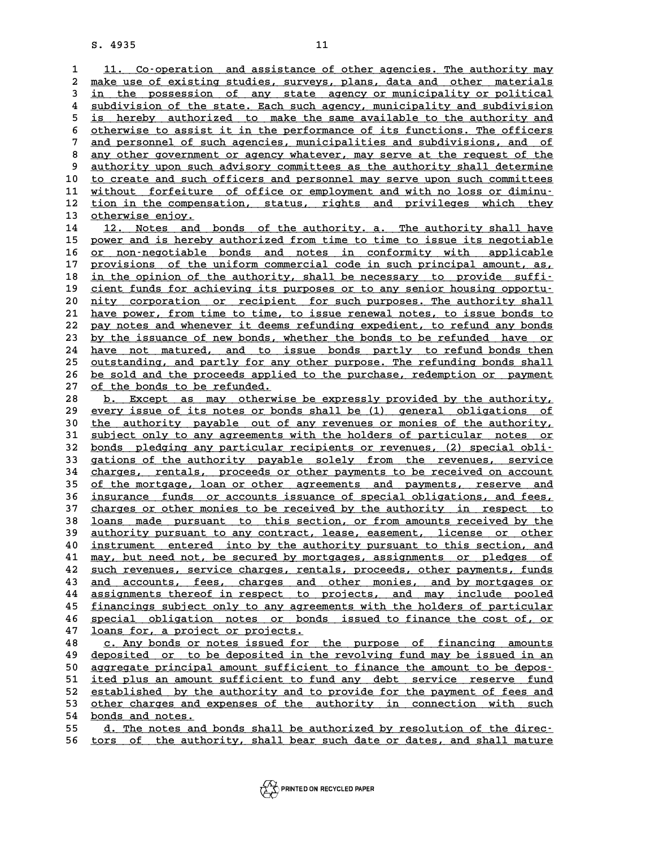8. 4935<br> **11.** Co-operation and assistance of other agencies. The authority may<br>
<sup>2</sup> make use of existing studies, surveys, plans, data and other materials 1 11. Co-operation and assistance of other agencies. The authority may<br>2 make use of existing studies, surveys, plans, data and other materials<br>3 in the possession of any state agency or municipality or political 1 11. Co-operation and assistance of other agencies. The authority may<br>2 make use of existing studies, surveys, plans, data and other materials<br>3 in the possession of any state agency or municipality or political<br>4 subdivi 2 <u>make use of existing studies, surveys, plans, data and other materials<br>3 in the possession of any state agency or municipality or political<br>4 subdivision of the state. Each such agency, municipality and subdivision<br>is b</u> in the possession of any state agency or municipality or political<br>4 subdivision of the state. Each such agency, municipality and subdivision<br>5 is hereby authorized to make the same available to the authority and<br>5 stherwi 4 <u>subdivision of the state. Each such agency</u>, municipality and subdivision<br>5 is hereby authorized to make the same available to the authority and<br>6 <u>otherwise to assist it in the performance of its functions. The officer</u> <sup>5</sup> is hereby authorized to make the same available to the authority and otherwise to assist it in the performance of its functions. The officers and personnel of such agencies, municipalities and subdivisions, and of  $\sim$ 8 otherwise to assist it in the performance of its functions. The officers<br>
7 and personnel of such agencies, municipalities and subdivisions, and of<br>
<u>any other government or agency whatever</u>, may serve at the request of 9 any other government or agencies, municipalities and subdivisions, and of any other government or agency whatever, may serve at the request of the authority upon such advisory committees as the authority shall determine 8 any other government or agency whatever, may serve at the request of the<br>
9 authority upon such advisory committees as the authority shall determine<br>
10 to create and such officers and personnel may serve upon such commi 9 authority upon such advisory committees as the authority shall determine<br>
10 to create and such officers and personnel may serve upon such committees<br>
11 without forfeiture of office or employment and with no loss or dim to create and such officers and personnel may serve upon such committees<br>
11 without forfeiture of office or employment and with no loss or diminu-<br>
12 tion in the compensation, status, rights and privileges which they<br>
21 <u>without forfeiture of office or employment and with no loss or diminu-<br>12 <u>tion in the compensation, status, rights and privileges which they<br>13 <u>otherwise enjoy.</u><br>14 12. Notes and bonds of the authority. a. The authority</u></u> 12 tion in the compensation, status, rights and privileges which they<br>
13 <u>otherwise enjoy.</u><br>
14 12. Notes and bonds of the authority. a. The authority shall have<br>
25 power and is boroby authorized from time to time to iss otherwise enjoy.<br>
14 12. Notes and bonds of the authority. a. The authority shall have<br>
15 power and is hereby authorized from time to time to issue its negotiable<br>
16 proposable<br>
20 power and islands and potes in confermi 14 12. Notes and bonds of the authority. a. The authority shall have<br>
15 <u>power and is hereby authorized from time to time to issue its negotiable</u><br>
16 <u>or non-negotiable bonds and notes in conformity with applicable</u><br>
17 power and is hereby authorized from time to time to issue its negotiable<br>
<u>or non-negotiable</u> bonds and notes in conformity with applicable<br>
provisions of the uniform commercial code in such principal amount, as,<br>
in the o or non-negotiable bonds and notes in conformity with applicable<br>
17 provisions of the uniform commercial code in such principal amount, as,<br>
18 <u>in the opinion of the authority, shall be necessary to provide suffi-</u><br>
ciont 17 provisions of the uniform commercial code in such principal amount, as, in the opinion of the authority, shall be necessary to provide suffi-<br>
19 <u>cient funds for achieving its purposes or to any senior housing opportu</u> **20** 18 in the opinion of the authority, shall be necessary to provide suffi-<br>
20 <u>nity corporation or recipient for such purposes. The authority shall</u><br>
21 have power from time to time to issue renewal potes to issue bond 21 dient funds for achieving its purposes or to any senior housing opportu-<br>
20 <u>nity corporation or recipient</u> for such purposes. The authority shall<br>
21 have power, from time to time, to issue renewal notes, to issue bon 20 <u>nity corporation or recipient for such purposes. The authority shall</u><br>21 <u>have power, from time to time, to issue renewal notes, to issue bonds to</u><br>22 pay notes and whenever it deems refunding expedient, to refund any 21 have power, from time to time, to issue renewal notes, to issue bonds to pay notes and whenever it deems refunding expedient, to refund any bonds by the issuance of new bonds, whether the bonds to be refunded have or ha 22 pay notes and whenever it deems refunding expedient, to refund any bonds<br>23 by the issuance of new bonds, whether the bonds to be refunded have or<br>24 have not matured, and to issue bonds partly to refund bonds then<br>25 u by the issuance of new bonds, whether the bonds to be refunded have or<br>
24 have not matured, and to issue bonds partly to refund bonds then<br>
25 <u>outstanding, and partly for any other purpose.</u> The refunding bonds shall<br>
26 24 have not matured, and to issue bonds partly to refund bonds then<br>25 <u>outstanding, and partly for any other purpose. The refunding bonds shall</u><br>26 <u>be sold and the proceeds applied to the purchase, redemption or payment</u> 25 <u>outstanding, and partly for any other purpose. The refunding bonds shall</u><br>26 <u>be sold and the proceeds applied to the purchase, redemption or payment</u><br>27 <u>of the bonds to be refunded.</u><br>28 **b.** Except as may otherwise b 28 b. Except as may otherwise be expressly provided by the authority,<br>29 every issue of its notes or bonds shall be (1) general obligations of 29 <u>every issue of its notes or bonds shall be (1) general obligations of</u><br>30 the authority payable out of any revenues or monies of the authority, **b. Except as may otherwise be expressly provided by the authority,**<br> **29 every issue of its notes or bonds shall be (1) general obligations of**<br> **30 the authority payable out of any revenues or monies of the authority,**<br> **39 every issue of its notes or bonds shall be (1) general obligations of the authority payable out of any revenues or monies of the authority, subject only to any agreements with the holders of particular notes or hords p** the authority payable out of any revenues or monies of the authority,<br>
31 <u>subject only to any agreements with the holders of particular notes or<br>
32 <u>bonds pledging any particular recipients or revenues, (2) special obli-</u></u> 31 <u>subject only to any agreements with the holders of particular notes or</u><br>32 <u>bonds pledging any particular recipients or revenues, (2) special obli-</u><br>33 gations of the authority payable solely from the revenues, service 32 <u>bonds pledging any particular recipients or revenues, (2) special obli-</u><br>33 gations of the authority payable solely from the revenues, service<br>34 charges, rentals, proceeds or other payments to be received on account<br>3 35 <u>of the mortgage, loan or other agreements and payments, reserve and</u><br>36 insurance funds or accounts issuance of special obligations, and fees, charges, rentals, proceeds or other payments to be received on account<br>35 <u>of the mortgage, loan or other agreements and payments, reserve and<br>36 insurance funds or accounts issuance of special obligations, and fees,<br>27 sh</u> 35 of the mortgage, loan or other agreements and payments, reserve and<br>36 <u>insurance funds or accounts issuance of special obligations, and fees, charges or other monies to be received by the authority in respect to learn </u> **36** insurance funds or accounts issuance of special obligations, and fees,<br>37 charges or other monies to be received by the authority in respect to<br>38 loans made pursuant to this section, or from amounts received by the<br>3 charges or other monies to be received by the authority in respect to<br>38 <u>loans made</u> pursuant to this section, or from amounts received by the<br>39 <u>authority pursuant to any contract</u>, lease, easement, license or other<br>ins 18 <u>loans made pursuant to this section, or from amounts received by the authority pursuant to any contract, lease, easement, license or other instrument entered into by the authority pursuant to this section, and now but </u> athority pursuant to any contract, lease, easement, license or other<br>
40 <u>instrument entered into by the authority pursuant to this section, and</u><br>
41 <u>may, but need not, be secured by mortgages, assignments or pledges of</u><br> instrument entered into by the authority pursuant to this section, and<br>  $\frac{may}{may}$ , but need not, be secured by mortgages, assignments or pledges of<br>  $\frac{1}{2}$  and equation is the security of the second of the monies and by a time and the secured by mortgages, assignments or pledges of<br>
42 <u>such revenues, service charges, rentals, proceeds, other payments, funds</u><br>
43 <u>and accounts, fees, charges and other monies, and by mortgages or</u><br>
44 assi **42** <u>such revenues, service charges, rentals, proceeds, other payments, funds</u><br>43 <u>and accounts, fees, charges and other monies, and by mortgages or</u><br><u>assignments thereof in respect to projects, and may include pooled</u><br>fi and accounts, fees, charges and other monies, and by mortgages or<br> **44** assignments thereof in respect to projects, and may include pooled<br>
<u>financings subject only to any agreements with the holders of particular</u><br> **Assum** 44 assignments thereof in respect to projects, and may include pooled<br>45 <u>financings subject only to any agreements with the holders of particular</u><br>46 <u>special obligation notes or bonds issued to finance the cost of, or</u><br>4 45 <u>financings subject only to any agreements with the holders of particular</u><br>46 <u>special obligation notes or bonds issued to finance the cost of, or</u><br>47 <u>loans for, a project or projects.</u><br>48 c. Any bonds or notes issued **46** <u>special obligation notes or bonds issued to finance the cost of, or loans for, a project or projects.<br> **48** c. Any bonds or notes issued for the purpose of financing amounts<br> **48** depended or to be depended in the re</u> **19 deposited or a project or projects.**<br> **48** <u>deposited or to be deposited in the revolving fund may be issued in an</u><br> **49** <u>deposited or to be deposited in the revolving fund may be issued in an</u><br> **50** accreasion princi **50 aggregate principal amounts**<br> **50 aggregate principal amount sufficient to finance the amount to be depos-**<br> **50 aggregate principal amount sufficient to finance the amount to be depos-**<br> **11.100 aggregate principal am** deposited or to be deposited in the revolving fund may be issued in an<br>50 <u>aggregate principal amount sufficient to finance the amount to be depos-</u><br>51 <u>ited plus an amount sufficient to fund any debt service reserve fund</u> 50 aggregate principal amount sufficient to finance the amount to be depos-<br>51 <u>ited plus an amount sufficient to fund any debt service reserve fund</u><br>52 established by the authority and to provide for the payment of fees a 51 <u>ited plus an amount sufficient to fund any debt service reserve fund</u><br>52 <u>established by the authority and to provide for the payment of fees and<br>53 other charges and expenses of the authority in connection with such<br>5</u> 53 <u>other charges and expenses of the authority in connection with such</u><br>54 <u>bonds and notes.</u><br>55 d. The notes and bonds shall be authorized by resolution of the direcother charges and expenses of the authority in connection with such<br>54 <u>bonds and notes.</u><br>55 <u>d. The notes and bonds shall be authorized by resolution of the direc-</u><br>56 tors of the outhority shall beer such date or dates a

54 <u>bonds and notes.</u><br>55 <u>d. The notes and bonds shall be authorized by resolution of the direc–</u><br>56 <u>tors of the authority, shall bear such date or dates, and shall mature</u>

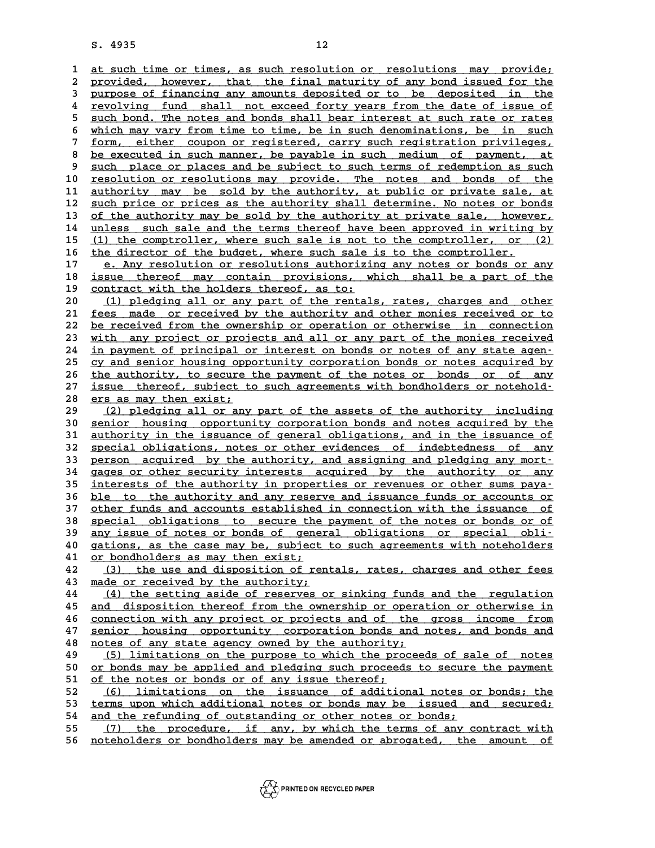8. 4935<br> **12**<br>
<u>1 at such time or times, as such resolution or resolutions may provide;</u><br>
2 provided boyever that the final maturity of any bond issued for the 2 at such time or times, as such resolution or resolutions may provide;<br>2 provided, however, that the final maturity of any bond issued for the<br>3 purpose of financing any amounts deposited or to be deposited in the 3 at such time or times, as such resolution or resolutions may provide;<br>2 provided, however, that the final maturity of any bond issued for the<br>3 purpose of financing any amounts deposited or to be deposited in the<br>2 revol provided, however, that the final maturity of any bond issued for the<br>3 purpose of financing any amounts deposited or to be deposited in the<br>4 <u>revolving fund shall not exceed forty years from the date of issue of</u><br>5 guch Furpose of financing any amounts deposited or to be deposited in the revolving fund shall not exceed forty years from the date of issue of such bond. The notes and bonds shall bear interest at such rate or rates which way Form the date of issue of<br>
such bond. The notes and bonds shall bear interest at such rate or rates<br>
which may vary from time to time, be in such denominations, be in such<br>
form oither coupon or registered garry such regis 5 <u>such bond. The notes and bonds shall bear interest at such rate or rates<br>
which may vary from time to time, be in such denominations, be in such<br>
<u>form, either coupon or registered, carry such registration privileges,</u><br></u> 8 which may vary from time to time, be in such denominations, be in such<br>
7 form, either coupon or registered, carry such registration privileges,<br>
8 be executed in such manner, be payable in such medium of payment, at<br>
9 9 <u>be executed in such manner, be payable in such registration privileges,</u><br>8 <u>be executed in such manner, be payable in such medium of payment, at</u><br>9 <u>such place or places and be subject to such terms of redemption as suc</u> 8 <u>be executed in such manner, be payable in such medium of payment, at</u><br>9 <u>such place or places and be subject to such terms of redemption as such</u><br>10 <u>resolution or resolutions may provide. The notes and bonds of the</u><br>11 9 <u>such place or places and be subject to such terms of redemption as such resolution or resolutions may provide. The notes and bonds of the authority may be sold by the authority, at public or private sale, at  $\frac{11}{2}$  </u> **10** resolution or resolutions may provide. The notes and bonds of the authority may be sold by the authority, at public or private sale, at such price or prices as the authority shall determine. No notes or bonds of the a 11 <u>authority may be sold by the authority, at public or private sale, at</u><br>12 <u>such price or prices as the authority shall determine. No notes or bonds</u><br>13 <u>of the authority may be sold by the authority at private sale, ho</u> 14 <u>unless such sale and the terms thereof have been approved in writing by</u><br>15 (1) the comptroller, where such sale is not to the comptroller, or (2) of the authority may be sold by the authority at private sale, however,<br>14 unless such sale and the terms thereof have been approved in writing by<br>15 (1) the comptroller, where such sale is not to the comptroller, or (2)<br>1 16 the director of the budget, where such sale is to the comptroller.<br>17 e. Any resolution or resolutions authorizing any notes or bonds or any 15 (1) the comptroller, where such sale is not to the comptroller, or (2)<br>
16 <u>the director of the budget</u>, where such sale is to the comptroller.<br>
17 <u>e. Any resolution or resolutions authorizing any notes or bonds or any</u> the director of the budget, where such sale is to the comptroller.<br>
17 e. Any resolution or resolutions authorizing any notes or bonds or any<br>
18 issue thereof may contain provisions, which shall be a part of the<br>
contract 17 e. Any resolution or resolutions authorizi<br>
18 <u>issue thereof</u> may contain provisions, w<br>
<u>contract with the holders thereof, as to:</u><br>
20 (1) plodging all or any part of the rontal 18 <u>issue thereof may contain provisions, which shall be a part of the contract with the holders thereof, as to:<br>20 (1) pledging all or any part of the rentals, rates, charges and other<br><sup>21 feed made or received by the aut</u></sup> 20 <u>(1) pledging all or any part of the rentals, rates, charges and other  $\frac{1}{2}$  fees made or received by the authority and other monies received or to <br>22 be received from the ownership or operation or otherwise in con</u> 20 (1) pledging all or any part of the rentals, rates, charges and other<br>
21 <u>fees made or received by the authority and other monies received or to</u><br>
22 <u>be received from the ownership or operation or otherwise in connect</u> 21 <u>fees made or received by the authority and other monies received or to</u><br>22 <u>be received from the ownership or operation or otherwise in connection</u><br>23 <u>with any project or projects and all or any part of the monies rec</u> 22 <u>be received from the ownership or operation or otherwise in connection</u><br>23 <u>with any project or projects and all or any part of the monies received</u><br>24 <u>in payment of principal or interest on bonds or notes of any stat</u> 23 with any project or projects and all or any part of the monies received<br>24 <u>in payment of principal or interest on bonds or notes of any state agen-</u><br>25 <u>cy and senior housing opportunity corporation bonds or notes acqu</u> 24 in payment of principal or interest on bonds or notes of any state agen-<br>25 cy and senior housing opportunity corporation bonds or notes acquired by<br>26 <u>the authority, to secure the payment of the notes or bonds or of a</u> 25 cy and senior housing opportunity corporation bonds or notes acquired by<br>
26 the authority, to secure the payment of the notes or bonds or of any<br>
27 issue thereof, subject to such agreements with bondholders or notehol 26 the authority, to secure the payment of the notes or bonds or of any<br>
27 <u>issue thereof, subject to such agreements with bondholders or notehold</u><br>
28 <u>ers as may then exist;</u><br>
29 (2) pledging all or any part of the asse issue thereof, subject to such agreements with bondholders or notehold-<br>
<u>ers as may then exist;</u><br>
(2) pledging all or any part of the assets of the authority including<br>
conject housing enpertunity corporation bonds and no **38** ers as may then exist;<br> **30** (2) pledging all or any part of the assets of the authority including<br> **30** senior housing opportunity corporation bonds and notes acquired by the<br> **31** authority in the issuance of genera <sup>29</sup> (2) pledging all or any part of the assets of the authority including<br>
30 <u>senior housing opportunity corporation bonds and notes acquired by the</u><br>
31 <u>authority in the issuance of general obligations, and in the issu</u> 30 <u>senior housing opportunity corporation bonds and notes acquired by the authority in the issuance of general obligations, and in the issuance of special obligations, notes or other evidences of indebtedness of any perso</u> 31 <u>authority in the issuance of general obligations, and in the issuance of</u><br>32 <u>special obligations, notes or other evidences of indebtedness of any</u><br>33 <u>person acquired by the authority, and assigning and pledging any m</u> 32 <u>special obligations, notes or other evidences of indebtedness of any</u><br>33 <u>person acquired by the authority, and assigning and pledging any mort-</u><br>34 gages or other security interests acquired by the authority or any<br>35 **33** person acquired by the authority, and assigning and pledging any mort-<br>34 gages or other security interests acquired by the authority or any<br>35 interests of the authority in properties or revenues or other sums paya-<br> 34 gages or other security interests acquired by the authority or any interests of the authority in properties or revenues or other sums paya-<br>36 <u>ble to the authority and any reserve and issuance funds or accounts or</u><br>27 35 interests of the authority in properties or revenues or other sums paya-<br>36 <u>ble to the authority and any reserve and issuance funds or accounts or</u><br>37 <u>other funds and accounts established in connection with the issuan</u> 36 <u>ble to the authority and any reserve and issuance funds or accounts or other funds and accounts established in connection with the issuance of special obligations to secure the payment of the notes or bonds or of any i</u> 38 <u>special obligations to secure the payment of the notes or bonds or of</u><br>39 <u>any issue of notes or bonds of general obligations or special obli-</u><br>40 gations, as the case may be, subject to such agreements with noteholder 38 <u>special obligations to secure the payment of the notes or bonds or of</u><br>39 <u>any issue of notes or bonds of general obligations or special obli-</u><br>40 gations, as the case may be, subject to such agreements with noteholder **40** any issue of notes or bonds of gene<br> **40** gations, as the case may be, subject<br> **41** or bondholders as may then exist;<br> **42** (3) the use and disposition of res quartions, as the case may be, subject to such agreements with noteholders<br>  $\frac{1}{2}$  (3) the use and disposition of rentals, rates, charges and other fees<br>  $\frac{1}{2}$  made or received by the authority. 41 <u>or bondholders as may then exist;</u><br>42 (3) the use and disposition of ren<br>43 <u>made or received by the authority;</u><br>44 (4) the sotting aside of reserves a **42** (3) the use and disposition of rentals, rates, charges and other fees<br> **43** <u>made or received by the authority</u>;<br> **44** (4) the setting aside of reserves or sinking funds and the regulation<br> **45** and disposition thereo 43 <u>made or received by the authority;</u><br>
44 (4) the setting aside of reserves or sinking funds and the regulation<br>
45 <u>and disposition thereof from the ownership or operation or otherwise in</u><br>
26 connection with any projec **44 (4) the setting aside of reserves or sinking funds and the regulation**<br>45 <u>and disposition thereof from the ownership or operation or otherwise in<br>46 <u>connection with any project or projects and of the gross income fro</u></u> and disposition thereof from the ownership or operation or otherwise in connection with any project or projects and of the gross income from senior housing opportunity corporation bonds and notes, and bonds and 46 connection with any project or projects and of the<br>47 <u>senior housing opportunity corporation bonds and:</u><br>48 <u>notes of any state agency owned by the authority;</u><br>(5) limitations on the nurpose to which the process **47** senior housing opportunity corporation bonds and notes, and bonds and notes of any state agency owned by the authority;<br> **49** (5) limitations on the purpose to which the proceeds of sale of notes<br> **6.** The proceeds to **50 porters of any state agency owned by the authority;**<br> **49** (5) limitations on the purpose to which the proceeds of sale of notes<br> **porters may be applied and pledging such proceeds to secure the payment**<br> **porter of th** 49 (5) limitations on the purpose to which the pro<br>50 <u>or bonds may be applied and pledging such proceed</u><br>51 <u>of the notes or bonds or of any issue thereof</u>;<br><sup>52</sup> (6) limitations on the issuance of addition or bonds may be applied and pledging such proceeds to secure the payment<br>
51 of the notes or bonds or of any issue thereof;<br>
52 (6) limitations on the issuance of additional notes or bonds; the<br>
terms upon which additional 51 of the notes or bonds or of any issue thereof;<br>
52 (6) limitations on the issuance of additional notes or bonds; the<br>
53 terms upon which additional notes or bonds may be issued and secured;<br>
54 and the refunding of out 52 (6) limitations on the issuance of additional notes of<br>53 <u>terms upon which additional notes or bonds may be issued as</u><br>54 <u>and the refunding of outstanding or other notes or bonds;</u><br>55 (7) the procedure if any by which **53** terms upon which additional notes or bonds may be issued and secured;<br> **54** and the refunding of outstanding or other notes or bonds;<br> **(7)** the procedure, if any, by which the terms of any contract with<br> **56** actobal 54 and the refunding of outstanding or other notes or bonds;<br>55 (7) the procedure, if any, by which the terms of any contract with<br>56 noteholders or bondholders may be amended or abrogated, the amount of

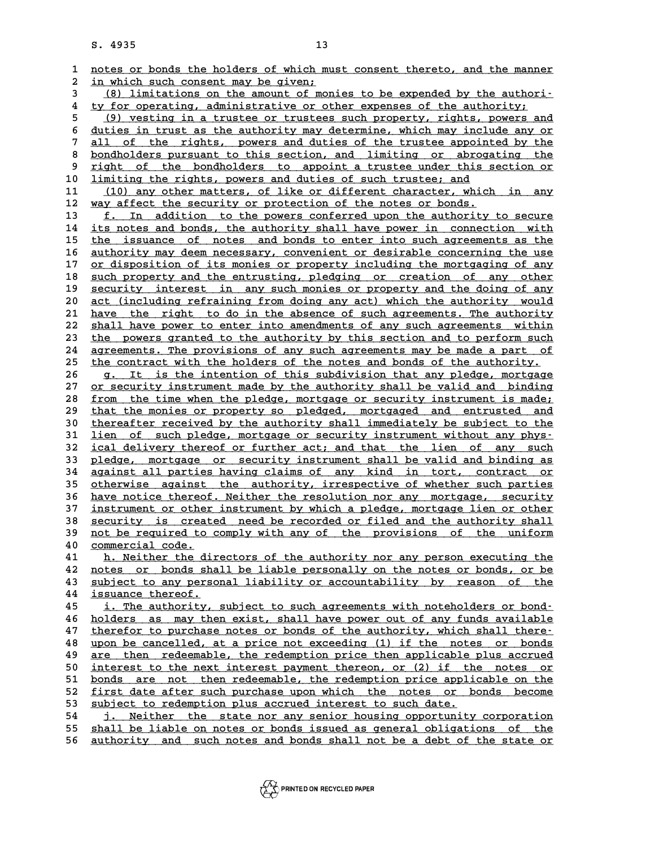**13**<br>**1** <u>notes or bonds the holders of which must consent thereto, and the manner</u><br>**2** in rhigh qugh gongont may be given: **2** <u>in which such consent may be given;</u><br>2 <u>in which such consent may be given;</u><br>3 (8) limitations on the amount of mon 3 <u>for the such consent may be given;</u><br>3 <u>(8) limitations on the amount of monies to be expended by the authori-</u><br><sup>4</sup> ty for eperting administrative or other expenses of the authority. <sup>2</sup> in which such consent may be given;<br>
<sup>3</sup> (8) limitations on the amount of monies to be expended by the authority;<br>
<sup>4</sup> ty for operating, administrative or other expenses of the authority;<br>
<sup>6</sup> (9) vesting in a trustee (8) limitations on the amount of monies to be expended by the authority:<br>
ty for operating, administrative or other expenses of the authority:<br>
(9) vesting in a trustee or trustees such property, rights, powers and<br>
duties 4 ty for operating, administrative or other expenses of the authority;<br>
<u>(9) vesting in a trustee or trustees such property, rights, powers and</u><br>
6 <u>duties in trust as the authority may determine, which may include any or</u> **7** (9) vesting in a trustee or trustees such property, rights, powers and<br> **6** duties in trust as the authority may determine, which may include any or<br> **all of the rights, powers and duties of the trustee appointed by th** 8 <u>duties in trust as the authority may determine, which may include any or<br>
8 all of the rights, powers and duties of the trustee appointed by the<br>
8 bondholders pursuant to this section, and limiting or abrogating the<br>
r</u> <u>all of the rights, powers and duties of the trustee appointed by the<br>
8 bondholders pursuant to this section, and limiting or abrogating the<br>
9 right of the bondholders to appoint a trustee under this section or<br>
1 imitin</u> 8 <u>bondholders pursuant to this section, and limiting or abrog</u><br>9 <u>right of the bondholders to appoint a trustee under this</u><br>10 <u>limiting the rights, powers and duties of such trustee; and</u><br>11 (10) any other matters of lik 9 <u>right of the bondholders to appoint a trustee under this section or</u><br>10 <u>limiting the rights, powers and duties of such trustee; and</u><br>11 (10) any other matters, of like or different character, which in any<br>12 <u>way affec</u> 10 limiting the rights, powers and duties of such trustee; and<br>
11 (10) any other matters, of like or different character, which<br>
12 way affect the security or protection of the notes or bonds.<br>
<sup>13</sup> f In addition to the p 13 **f. In addition to the powers conferred upon the authority to secure**<br>14 its notes and bonds, the authority shall have power in connection with 14 <u>its notes and bonds, the authority shall have power in connection with</u><br>15 the issuance of notes and bonds to enter into such agreements as the 15 the issuance of notes and bonds to enter into such agreements as the<br>16 authority may deem necessary, convenient or desirable concerning the use 14 its notes and bonds, the authority shall have power in connection with<br>15 <u>the issuance of notes and bonds to enter into such agreements as the</u><br>16 <u>authority may deem necessary, convenient or desirable concerning the u</u> the issuance of notes and bonds to enter into such agreements as the authority may deem necessary, convenient or desirable concerning the use or disposition of its monies or property including the mortgaging of any such pr a <u>suthority may deem necessary, convenient or desirable concerning the use</u><br>
17 <u>or disposition of its monies or property including the mortgaging of any</u><br>
18 <u>such property and the entrusting, pledging or creation of any</u> 17 <u>or disposition of its monies or property including the mortgaging of any</u><br>18 <u>such property and the entrusting, pledging or creation of any other</u><br>19 <u>security interest in any such monies or property and the doing of a</u> 20 <u>act (including refraining refraining</u> from doing any creation of any other<br>20 <u>act (including refraining from doing any act)</u> which the authority would<br>21 have the right to do in the absence of such agreements. The aut 19 <u>security interest in any such monies or property and the doing of any</u><br>20 <u>act (including refraining from doing any act) which the authority would</u><br>21 <u>have the right to do in the absence of such agreements. The author</u> act (including refraining from doing any act) which the authority would<br>
21 have the right to do in the absence of such agreements. The authority<br>
22 shall have power to enter into amendments of any such agreements within<br> 21 have the right to do in the absence of such agreements. The authority<br>
22 shall have power to enter into amendments of any such agreements within<br>
23 the powers granted to the authority by this section and to perform su 22 shall have power to enter into amendments of any such agreements within<br>23 the powers granted to the authority by this section and to perform such<br>24 agreements. The provisions of any such agreements may be made a part The powers granted to the authority by this section and to perform such<br>
<u>agreements</u>. The provisions of any such agreements may be made a part of<br>
the contract with the holders of the notes and bonds of the authority.<br>  $\$ 24 <u>agreements. The provisions of any such agreements may be made a part of</u><br>25 <u>the contract with the holders of the notes and bonds of the authority.</u><br>26 <u>g. It is the intention of this subdivision that any pledge, mortg</u> 25 <u>the contract with the holders of the notes and bonds of the authority.</u><br>26 g. It is the intention of this subdivision that any pledge, mortgage<br>27 <u>or security instrument made by the authority shall be valid and bindin</u> g. It is the intention of this subdivision that any pledge, mortgage<br>27 <u>or security instrument made by the authority shall be valid and binding</u><br>28 <u>from the time when the pledge, mortgage or security instrument is made;</u> 27 <u>or security instrument made by the authority shall be valid and binding<br>28 <u>from the time when the pledge, mortgage or security instrument is made;</u><br>29 <u>that the monies or property so pledged, mortgaged and entrusted a</u></u> **38** <u>from the time when the pledge, mortgage or security instrument is made;</u><br> **29** that the monies or property so pledged, mortgaged and entrusted and<br> **30** thereafter received by the authority shall immediately be subje that the monies or property so pledged, mortgaged and entrusted and<br>30 <u>thereafter received by the authority shall immediately be subject to the</u><br>31 <u>lien of such pledge, mortgage or security instrument without any phys-</u><br> 30 thereafter received by the authority shall immediately be subject to the<br>31 <u>lien of such pledge, mortgage or security instrument without any phys-</u><br>32 <u>ical delivery thereof or further act; and that the lien of any suc</u> 31 <u>lien of such pledge, mortgage or security instrument without any phys-<br>32 <u>ical delivery thereof or further act; and that the lien of any such</u><br>33 <u>pledge, mortgage or security instrument shall be valid and binding as</u></u> 32 <u>ical delivery thereof or further act; and that the lien of any such</u><br>33 <u>pledge, mortgage or security instrument shall be valid and binding as</u><br>34 <u>against all parties having claims of any kind in tort, contract or</u><br>35 pledge, mortgage or security instrument shall be valid and binding as<br>34 <u>against all parties having claims of any kind in tort, contract or</u><br>35 <u>otherwise against the authority, irrespective of whether such parties</u><br>berg 34 <u>against all parties having claims of any kind in tort, contract or</u><br>35 <u>otherwise against the authority, irrespective of whether such parties</u><br>36 <u>have notice thereof. Neither the resolution nor any mortgage, security</u> 35 otherwise against the authority, irrespective of whether such parties<br>36 have notice thereof. Neither the resolution nor any mortgage, security<br>37 instrument or other instrument by which a pledge, mortgage lien or other 36 have notice thereof. Neither the resolution nor any mortgage, security instrument or other instrument by which a pledge, mortgage lien or other security is created need be recorded or filed and the authority shall not b instrument or other instrument by which a pledge, mortgage lien or other<br>38 security is created need be recorded or filed and the authority shall<br>39 not be required to comply with any of the provisions of the uniform<br>2000 **40 security is creat**<br> **40 <u>commercial</u> code.<br>
<b>40** commercial code.<br> **41 b** Neither the di 40 <u>commercial code.</u><br>41 h. Neither the directors of the authority nor any person executing the<br>42 notes or bonds shall be liable personally on the notes or bonds, or be **42** <u>notes or bonds shall be liable personally on the notes or bonds, or be</u><br>43 <u>subject to any personal liability or accountability by reason of the</u> A time that the directors of the authority nor any person executing the<br>
42 <u>notes or bonds shall be liable personally on the notes or bonds, or be<br>
5 subject to any personal liability or accountability by reason of the<br>
4</u> 42 <u>notes or bonds sha</u><br>43 <u>subject to any perso:</u><br>44 <u>issuance thereof.</u><br>45 i mbo authority 43 <u>subject to any personal liability or accountability by reason of the issuance thereof.</u><br>45 <u>i. The authority, subject to such agreements with noteholders or bond-</u><br>belders or mouthon evist, shall have never eut of any *issuance thereof.*<br>45 *i. The authority, subject to such agreements with noteholders or bond-*<br>46 holders as may then exist, shall have power out of any funds available<br>47 therefor to purchase notes or bonds of the author 47 <u>therefor to purchase notes or bonds of the authority, which shall there-</u><br>48 upon be cancelled, at a price not exceeding (1) if the notes or bonds A holders as may then exist, shall have power out of any funds available<br>
47 therefor to purchase notes or bonds of the authority, which shall there<br>
48 upon be cancelled, at a price not exceeding (1) if the notes or bonds therefor to purchase notes or bonds of the authority, which shall there-<br>48 upon be cancelled, at a price not exceeding (1) if the notes or bonds<br>are then redeemable, the redemption price then applicable plus accrued<br>inter ab the same state of the net set of the net state of the net state of the net state of the net state of the net interest payment thereon, or (2) if the notes or hereon, or (2) if the notes or hereon, and the redeemable the are then redeemable, the redemption price then applicable plus accrued<br>50 <u>interest to the next interest payment thereon, or (2) if the notes or</u><br>51 <u>bonds are not then redeemable, the redemption price applicable on the</u><br>5 50 <u>interest to the next interest payment thereon, or (2) if the notes or</u><br>51 <u>bonds are not then redeemable, the redemption price applicable on the</u><br>52 <u>first date after such purchase upon which the notes or bonds become</u> 51 <u>bonds are not then redeemable, the redemption price applicable on the</u><br>52 <u>first date after such purchase upon which the notes or bonds become</u><br>53 <u>subject to redemption plus accrued interest to such date.</u><br>54 i. Neith 54 **j. Neither the state nor any senior housing opportunity corporation**<br>55 shall be liable on notes or bonds issued as general obligations of the 53 subject to redemption plus accrued interest to such date.<br>
54 <u>j. Neither the state nor any senior housing opportunity corporation</u><br>
55 shall be liable on notes or bonds issued as general obligations of the<br>
56 sutherit 54 <u>j. Neither the state nor any senior housing opportunity corporation</u><br>55 <u>shall be liable on notes or bonds issued as general obligations of the state or</u><br>56 <u>authority and such notes and bonds shall not be a debt of th</u>

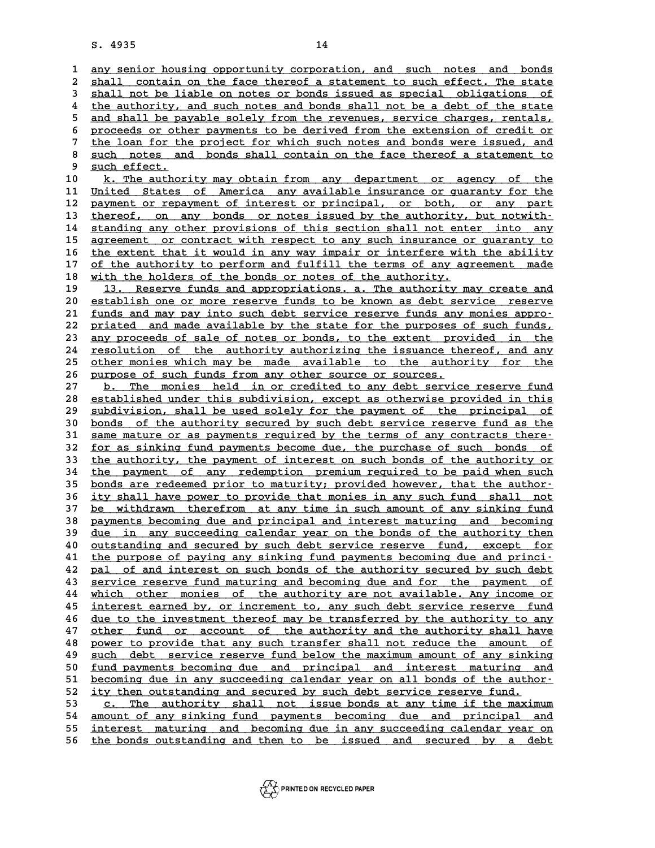14<br>1 <u>any senior housing opportunity corporation, and such notes and bonds</u><br>2 shall contain on the face thereof a statement to such effect. The state 2 <u>shall contain on the face thereof a statement to such effect. The state</u><br>3 shall not be liable on notes or bonds issued as special obligations of **3** <u>shall not be liable on notes or bonds issued as special obligations of 3</u><br>4 the authority, and such notes and bonds shall not be a debt of the state 4 shall contain on the face thereof a statement to such effect. The state<br>
4 shall not be liable on notes or bonds issued as special obligations of<br>
4 the authority, and such notes and bonds shall not be a debt of the stat 5 **shall** not be liable on notes or bonds issued as special obligations of the authority, and such notes and bonds shall not be a debt of the state and shall be payable solely from the revenues, service charges, rentals, p the authority, and such notes and bonds shall not be a debt of the state<br>
5 and shall be payable solely from the revenues, service charges, rentals,<br>
<u>proceeds or other payments to be derived from the extension of credit o</u> 3 and shall be payable solely from the revenues, service charges, rentals, proceeds or other payments to be derived from the extension of credit or the loan for the project for which such notes and bonds were issued, and s 8 proceeds or other payments to be derived from the extension of credit or<br>
<sup>7</sup> the loan for the project for which such notes and bonds were issued, and<br>
<sup>8</sup> such notes and bonds shall contain on the face thereof a stateme the loan for the project for which such notes and bonds were issued, and<br>8 <u>such notes and bonds shall contain on the face thereof a statement to</u><br>9 <u>such effect.</u><br>10 k. The authority may obtain from any department or agen

10 k. The authority may obtain from any department or agency of the **independent of the 11** United States of America any available insurance or quaranty for the 11 <u>United States of America any available insurance or guaranty for the 12</u><br>12 payment or repayment of interest or principal, or both, or any part *k.* The authority may obtain from any department or agency of the United States of America any available insurance or guaranty for the payment or repayment of interest or principal, or both, or any part<br> **12** payment or r 11 United States of America any available insurance or guaranty for the<br>12 payment or repayment of interest or principal, or both, or any part<br>13 <u>thereof, on any bonds or notes issued by the authority, but notwith-</u><br>14 st 12 payment or repayment of interest or principal, or both, or any part<br>13 <u>thereof, on any bonds or notes issued by the authority, but notwith</u><br>14 standing any other provisions of this section shall not enter into any<br>2000 the *standing any other provisions of this section shall not enter into any*<br>14 <u>standing any other provisions of this section shall not enter into any</u><br>15 <u>agreement or contract with respect to any such insurance or guara</u> 14 standing any other provisions of this section shall not enter into any<br>15 agreement or contract with respect to any such insurance or guaranty to<br>16 the extent that it would in any way impair or interfere with the abili **15** agreement or contract with respect to any such insurance or guaranty to the extent that it would in any way impair or interfere with the ability of the authority to perform and fulfill the terms of any agreement made **16** the extent that it would in any way impair or interfere with<br> **17** of the authority to perform and fulfill the terms of any ag<br> **18** with the holders of the bonds or notes of the authority.<br> **19** 12 Bosovue funds and 17 of the authority to perform and fulfill the terms of any agreement made<br>18 with the holders of the bonds or notes of the authority.<br>19 13. Reserve funds and appropriations. a. The authority may create and<br>20 establish o

**20 with the holders of the bonds or notes of the authority.**<br> **20** <u>establish one or more reserve funds to be known as debt service reserve</u><br> **21** funds and may pay into such debt service reserve funds any monies appro-19 13. Reserve funds and appropriations. a. The authority may create and<br>20 establish one or more reserve funds to be known as debt service reserve<br>21 <u>funds and may pay into such debt service reserve funds any monies appr</u> 20 <u>establish one or more reserve funds to be known as debt service reserve</u><br>21 <u>funds and may pay into such debt service reserve funds any monies appro-</u><br>22 priated and made available by the state for the purposes of such 21 <u>funds and may pay into such debt service reserve funds any monies appro-</u><br>22 <u>priated and made available by the state for the purposes of such funds,</u><br>23 <u>any proceeds of sale of notes or bonds, to the extent provided </u> 22 priated and made available by the state for the purposes of such funds,<br>23 <u>any proceeds of sale of notes or bonds</u>, to the extent provided in the<br>24 <u>resolution of the authority authorizing the issuance thereof, and an</u> 23 any proceeds of sale of notes or bonds, to the extent provided in the<br>24 <u>resolution of the authority authorizing the</u> issuance thereof, and any<br>25 other monies which may be made available to the authority for the<br>26 nu **24** <u>resolution of the authority authorizing the issuance the</u><br> **25** <u>other monies which may be made available to the authorour postes</u>.<br> **27 b** The monies held in an archited to any debt sorvies. 25 <u>other monies which may be made available to the authority for the</u><br>26 <u>purpose of such funds from any other source or sources.</u><br>27 b. The monies held in or credited to any debt service reserve fund<br>28 established under

**26 purpose of such funds from any other source or sources.**<br> **27 b.** The monies held in or credited to any debt service reserve fund<br> **28** established under this subdivision, except as otherwise provided in this<br>
cubdiv b. The monies held in or credited to any debt service reserve fund<br>
28 <u>subdivision, shall be used solely for the payment of the principal of</u><br>
29 subdivision, shall be used solely for the payment of the principal of<br>
20 b 80 <u>established under this subdivision, except as otherwise provided in this subdivision, shall be used solely for the payment of the principal of bonds of the authority secured by such debt service reserve fund as the sam</u> 30 subdivision, shall be used solely for the payment of the principal of<br>30 <u>bonds of the authority secured by such debt service reserve fund as the</u><br>31 <u>same mature or as payments required by the terms of any contracts th</u> bonds of the authority secured by such debt service reserve fund as the<br>31 <u>same mature or as payments required by the terms of any contracts there</u><br>32 <u>for as sinking fund payments become due, the purchase of such bonds o</u> 31 same mature or as payments required by the terms of any contracts there-<br>32 <u>for as sinking fund payments become due</u>, the purchase of such bonds of<br>33 the authority, the payment of interest on such bonds of the authori 32 <u>for as sinking fund payments become due, the purchase of such bonds of the authority, the payment of interest on such bonds of the authority or the payment of any redemption premium required to be paid when such bonds </u> 35 <u>bonds are redeemed prior to maturity; provided however, that the author-</u><br>36 ity shall have power to provide that monies in any such fund shall not 34 the payment of any redemption premium required to be paid when such<br>35 <u>bonds are redeemed prior to maturity; provided however, that the author-</u><br>36 <u>ity shall have power to provide that monies in any such fund shall no</u> bonds are redeemed prior to maturity; provided however, that the author-<br>36 <u>ity shall have power to provide that monies in any such fund shall not</u><br>37 <u>be withdrawn therefrom at any time in such amount of any sinking fund</u> **36 ity shall have power to provide that monies in any such fund shall not**<br> **be withdrawn therefrom at any time in such amount of any sinking fund**<br> **payments becoming due and principal and interest maturing and becoming** be withdrawn therefrom at any time in such amount of any sinking fund<br> **38** <u>due in any succeeding calendar year on the bonds of the authority then</u><br> **29** <u>due</u> in any succeeding calendar year on the bonds of the authority pothermal securing due and principal and interest maturing and becoming<br> **40** <u>outstanding and secured by such debt service reserve fund, except for</u><br>
the purpose of paying any sinking fund payments becoming due and princi due in any succeeding calendar year on the bonds of the authority then<br>
40 <u>outstanding and secured by such debt service reserve fund, except for</u><br>
41 the purpose of paying any sinking fund payments becoming due and princi At a <u>particular</u> and secured by such debt service reserve fund, except for<br>
the purpose of paying any sinking fund payments becoming due and princi-<br>
<u>pal of and interest on such bonds of the authority secured by such deb</u> 41 the purpose of paying any sinking fund payments becoming due and princi-<br>42 <u>pal of and interest on such bonds of the authority secured by such debt</u><br>43 <u>service reserve fund maturing and becoming due and for the paymen</u> **42 pal of and interest on such bonds of the authority secured by such debt**<br>43 service reserve fund maturing and becoming due and for the payment of<br><u>which other monies of the authority are not available. Any income or</u><br>i **43** service reserve fund maturing and becoming due and for the payment of which other monies of the authority are not available. Any income or interest earned by, or increment to, any such debt service reserve fund due to which other monies of the authority are not available. Any income or<br>45 <u>interest earned by, or increment to, any such debt service reserve fund</u><br>46 <u>due to the investment thereof may be transferred by the authority to any</u> interest earned by, or increment to, any such debt service reserve fund<br>46 <u>due to the investment thereof may be transferred by the authority to any</u><br>47 <u>other fund or account of the authority and the authority shall have</u> do the investment thereof may be transferred by the authority to any<br>
47 other fund or account of the authority and the authority shall have<br>
<u>power to provide that any such transfer shall not reduce the amount of</u><br>
guch d other fund or account of the authority and the authority shall have<br> **48** power to provide that any such transfer shall not reduce the amount of<br>
<u>such debt</u> service reserve fund below the maximum amount of any sinking<br>
fu 80 **fund power to provide that any such transfer shall not reduce the amount of such debt service reserve fund below the maximum amount of any sinking for fund payments becoming due and principal and interest maturing and 50** <u>such debt service reserve fund below the maximum amount of any sinking<br>50 <u>fund payments becoming due and principal and interest maturing and<br>51 <u>becoming due in any succeeding calendar year on all bonds of the autho</u></u></u> 50 <u>fund payments becoming due and principal and interest maturing as<br>51 <u>becoming due in any succeeding calendar year on all bonds of the author</u><br>52 <u>ity then outstanding and secured by such debt service reserve fund.</u><br>53</u> 51 <u>becoming due in any succeeding calendar year on all bonds of the author-</u><br>52 <u>ity then outstanding and secured by such debt service reserve fund.</u><br><u>53 c. The authority shall not issue bonds at any time if the maximum</u><br> **52 ity then outstanding and secured by such debt service reserve fund.**<br>
<u>c. The authority shall not issue bonds at any time if the maximum</u><br>
<u>amount of any sinking fund payments becoming due and principal and</u><br>
interest

53 <u>c. The authority shall not issue bonds at any time if the maximum</u><br>54 <u>amount of any sinking fund payments becoming due and principal and<br>55 interest maturing and becoming due in any succeeding calendar year on<br>56 the </u> 54 <u>amount of any sinking fund payments becoming due and principal and</u><br>55 <u>interest maturing and becoming due in any succeeding calendar year on</u><br>56 <u>the bonds outstanding and then to be issued and secured by a debt</u>

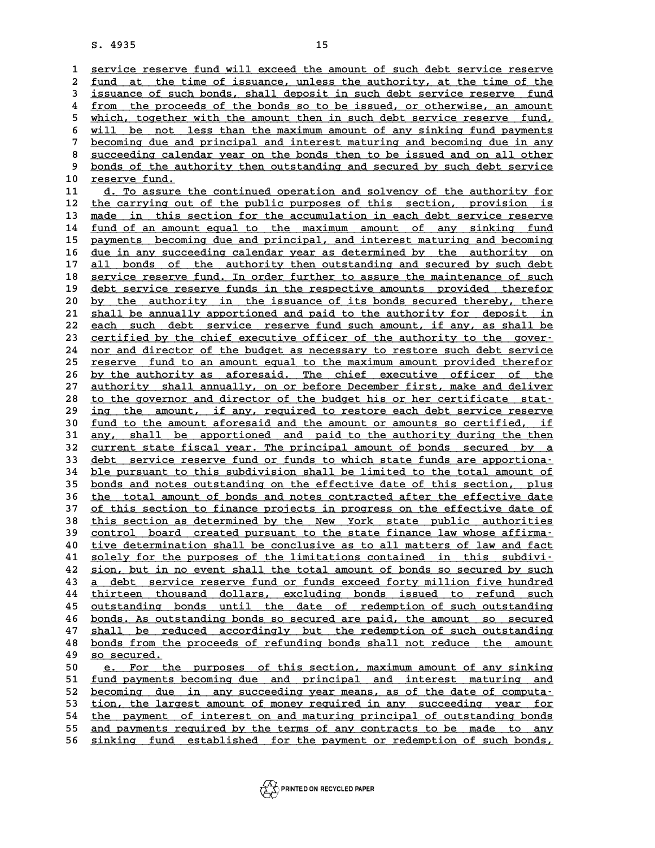8. 4935<br>15<br><del>1 <u>service reserve fund will exceed the amount of such debt service reserve</u><br>2 fund at the time of igguange, uplogg the authority at the time of the</del> 2 service reserve fund will exceed the amount of such debt service reserve<br>2 <u>fund at the time of issuance, unless the authority, at the time of the</u><br>3 issuance of such bonds, shall deposit in such debt service reserve, fu 3 service reserve fund will exceed the amount of such debt service reserve<br>2 <u>fund at the time of issuance</u>, unless the authority, at the time of the<br>3 issuance of such bonds, shall deposit in such debt service reserve fun fund at the time of issuance, unless the authority, at the time of the<br>
issuance of such bonds, shall deposit in such debt service reserve fund<br>  $\frac{1}{2}$  from the proceeds of the bonds so to be issued, or otherwise, an am 3 issuance of such bonds, shall deposit in such debt service reserve fund<br>4 from the proceeds of the bonds so to be issued, or otherwise, an amount<br>5 which, together with the amount then in such debt service reserve fund,<br> 4 <u>from the proceeds of the bonds so to be issued, or otherwise, an amount</u><br>5 which, together with the amount then in such debt service reserve fund,<br>6 will be not less than the maximum amount of any sinking fund payments<br> 5 which, together with the amount then in such debt service reserve fund,<br>6 will be not less than the maximum amount of any sinking fund payments<br>7 becoming due and principal and interest maturing and becoming due in any<br>8 8 will be not less than the maximum amount of any sinking fund payments<br> **Becoming due and principal and interest maturing and becoming due in any**<br>
<u>succeeding calendar year on the bonds then to be issued and on all other</u> becoming due and principal and interest maturing and becoming due in any succeeding calendar year on the bonds then to be issued and on all other bonds of the authority then outstanding and secured by such debt service 9 <u>bonds of the authority then outstanding and secured by such debt service</u><br>10 <u>reserve fund.</u><br>11 d. To assure the continued operation and solvency of the authority for 9 bonds of the authority then outstanding and secured by such debt service<br>
10 <u>reserve fund.</u><br>
11 <u>d. To assure the continued operation and solvency of the authority for</u><br>
<sup>12</sup> the carrying out of the public purposes of t

**10 reserve fund.**<br> **11 d.** To assure the continued operation and solvency of the authority for<br> **12** the carrying out of the public purposes of this section, provision is<br> **13** made in this section for the acqumulatio 11 d. To assure the continued operation and solvency of the authority for<br>
12 the carrying out of the public purposes of this section, provision is<br>
13 made in this section for the accumulation in each debt service reserve the carrying out of the public purposes of this section, provision is<br>13 <u>made in this section for the accumulation in each debt service reserve</u><br>14 <u>fund of an amount equal to the maximum amount of any sinking fund</u><br>15 pa **15 <u>payments</u> becoming due and principal, and interest maturing and becoming<br>16 due in any succeeding calendar year as determined by the authority on** fund of an amount equal to the maximum amount of any sinking fund<br>15 <u>payments becoming due and principal</u>, and interest maturing and becoming<br>16 <u>due in any succeeding calendar year as determined by the authority on</u><br>17 <sup></sup> pothermal power the authority of the authority of the authority of the authority of the authority then outstanding and secured by such debt<br> **all bonds of the authority then outstanding and secured by such debt**<br> **All corr** due in any succeeding calendar year as determined by the authority on<br>
17 <u>all bonds of the authority then outstanding and secured by such debt</u><br>
18 service reserve fund. In order further to assure the maintenance of such<br> all bonds of the authority then outstanding and secured by such debt<br>
18 <u>service reserve funds in the respective amounts</u> provided therefor<br>
19 debt service reserve funds in the respective amounts provided therefor<br>
20 by 18 <u>service reserve fund. In order further to assure the maintenance of such</u><br>19 <u>debt service reserve funds in the respective amounts provided therefor</u><br>20 <u>by the authority in the issuance of its bonds secured thereby, t</u> debt service reserve funds in the respective amounts provided therefor<br>
20 by the authority in the issuance of its bonds secured thereby, there<br>
21 shall be annually apportioned and paid to the authority for deposit in<br>
22 by the authority in the issuance of its bonds secured thereby, there<br>
21 shall be annually apportioned and paid to the authority for deposit in<br>
22 each such debt service reserve fund such amount, if any, as shall be<br>
23 c 21 shall be annually apportioned and paid to the authority for deposit in<br>22 each such debt service reserve fund such amount, if any, as shall be<br>23 certified by the chief executive officer of the authority to the gover-<br>2 22 each such debt service reserve fund such amount, if any, as shall be<br>23 <u>certified by the chief executive officer of the authority to the gover-</u><br>24 <u>nor and director of the budget as necessary to restore such debt serv</u> 23 certified by the chief executive officer of the authority to the gover-<br>24 <u>nor and director of the budget as necessary to restore such debt service</u><br>25 reserve fund to an amount equal to the maximum amount provided the 24 <u>nor and director of the budget as necessary to restore such debt service</u><br>25 <u>reserve fund to an amount equal to the maximum amount provided therefor</u><br>26 <u>by the authority as aforesaid. The chief executive officer of t</u> reserve fund to an amount equal to the maximum amount provided therefor<br>26 by the authority as aforesaid. The chief executive officer of the<br>27 <u>authority shall annually, on or before December first, make and deliver</u><br>28 i by the authority as aforesaid. The chief executive officer of the<br>
27 authority shall annually, on or before December first, make and deliver<br>
28 to the governor and director of the budget his or her certificate stat-<br>
29 authority shall annually, on or before December first, make and deliver<br>
28 to the governor and director of the budget his or her certificate stat-<br>
29 ing the amount, if any, required to restore each debt service reserve<br> to the governor and director of the budget his or her certificate stat-<br> **30** <u>fund to the amount aforesaid and the amount or amounts so certified, if</u><br> **31** any shall be apportioned and paid to the authority during the th ing the amount, if any, required to restore each debt service reserve<br> **30** <u>fund to the amount aforesaid and the amount or amounts so certified, if<br>  $\frac{any}{any}$ , shall be apportioned and paid to the authority during the the</u> <u>fund to the amount aforesaid and the amount or amounts so certified, if<br>31 any, shall be apportioned and paid to the authority during the then<br>32 current state fiscal year. The principal amount of bonds secured by a<br>33 de</u> **31 any, shall be apportioned and paid to the authority during the then**<br> **32 debt service reserve fund or funds to which state funds are apportiona-**<br> **24 ble nurguant to this qubdivision shall be limited to the total arg** 32 <u>current state fiscal year. The principal amount of bonds secured by a</u><br>33 <u>debt service reserve fund or funds to which state funds are apportiona-</u><br>34 <u>ble pursuant to this subdivision shall be limited to the total amo</u> 33 debt service reserve fund or funds to which state funds are apportiona-<br>34 <u>ble pursuant to this subdivision shall be limited to the total amount of bonds and notes outstanding on the effective date of this section, plu</u> ble pursuant to this subdivision shall be limited to the total amount of<br>35 <u>bonds and notes outstanding on the effective date of this section, plus<br>36 <u>the total amount of bonds and notes contracted after the effective da</u></u> 35 <u>bonds and notes outstanding on the effective date of this section, plus<br>36 the total amount of bonds and notes contracted after the effective date<br>37 of this section to finance projects in progress on the effective dat</u> 36 the total amount of bonds and notes contracted after the effective date<br>37 of this section to finance projects in progress on the effective date of<br>38 this section as determined by the New York state public authorities<br> 37 of this section to finance projects in progress on the effective date of<br>
38 this section as determined by the New York state public authorities<br>
39 control board created pursuant to the state finance law whose affirmathis section as determined by the New York state public authorities<br> **40** <u>tive determination shall be conclusive as to all matters of law and fact</u><br> **41** solely for the purposes of the limitations contained in this subdiv control board created pursuant to the state finance law whose affirma-<br>40 tive determination shall be conclusive as to all matters of law and fact<br>41 solely for the purposes of the limitations contained in this subdivi-<br>42 40 tive determination shall be conclusive as to all matters of law and fact<br>41 solely for the purposes of the limitations contained in this subdivi-<br>42 sion, but in no event shall the total amount of bonds so secured by su **41** <u>solely for the purposes of the limitations contained in this subdivi-</u><br>42 <u>sion, but in no event shall the total amount of bonds so secured by such</u><br>43 <u>a debt service reserve fund or funds exceed forty million five </u> **42** sion, but in no event shall the total amount of bonds so secured by such<br> **43 a** debt service reserve fund or funds exceed forty million five hundred<br> **thirteen** thousand dollars, excluding bonds issued to refund su **43 a** debt service reserve fund or funds exceed forty million five hundred<br> **44** thirteen thousand dollars, excluding bonds issued to refund such<br> **45** outstanding bonds until the date of redemption of such outstanding<br> thirteen thousand dollars, excluding bonds issued to refund such<br>45 <u>outstanding bonds until the date of redemption of such outstanding</u><br>26 <u>bonds. As outstanding bonds so secured are paid, the amount so secured</u><br>27 shall dt action of such outstanding bonds until the date of redemption of such outstanding<br>46 <u>bonds. As outstanding bonds so secured are paid, the amount so secured</u><br>47 <u>shall be reduced accordingly but the redemption of such o</u> **46** <u>bonds. As outstanding bonds so secured are paid, the amount so secured</u><br>47 <u>shall be reduced accordingly but the redemption of such outstanding<br>bonds from the proceeds of refunding bonds shall not reduce the amount<br>2</u> 47 shall be red.<br>48 <u>bonds from the so secured.</u> bonds from the proceeds of refunding bonds shall not reduce the amount<br>
<u>so secured.</u><br>
<u>e. For the purposes of this section, maximum amount of any sinking</u><br>
fund payments becoming due and principal and interest maturing an **50** <u>so secured.</u><br>
<u>51 e. For the purposes of this section, maximum amount of any sinking<br>
51 <u>fund payments becoming due</u> and principal and interest maturing and<br> **becoming due in any quocooding year means as of the date</u>** 

**Example 12**<br> **52** <u>becoming due in any succeeding year means, as of the date of computa-<br> **becoming due in any succeeding year means, as of the date of computa-**<br> **Fig. 1** ion the largest amount of money required in any s</u> 51 <u>fund payments becoming due and principal and interest maturing and</u><br>52 <u>becoming due in any succeeding year means, as of the date of computa-</u><br>53 <u>tion, the largest amount of money required in any succeeding year for</u><br> becoming due in any succeeding year means, as of the date of computa-<br>
<u>tion, the largest amount of money required in any succeeding year for</u><br>
the payment of interest on and maturing principal of outstanding bonds<br>
and pa 53 tion, the largest amount of money required in any succeeding year for<br>54 the payment of interest on and maturing principal of outstanding bonds<br>55 and payments required by the terms of any contracts to be made to any<br>56 54 the payment of interest on and maturing principal of outstanding bonds<br>55 <u>and payments required by the terms of any contracts to be made to any</u><br>56 sinking fund established for the payment or redemption of such bonds,

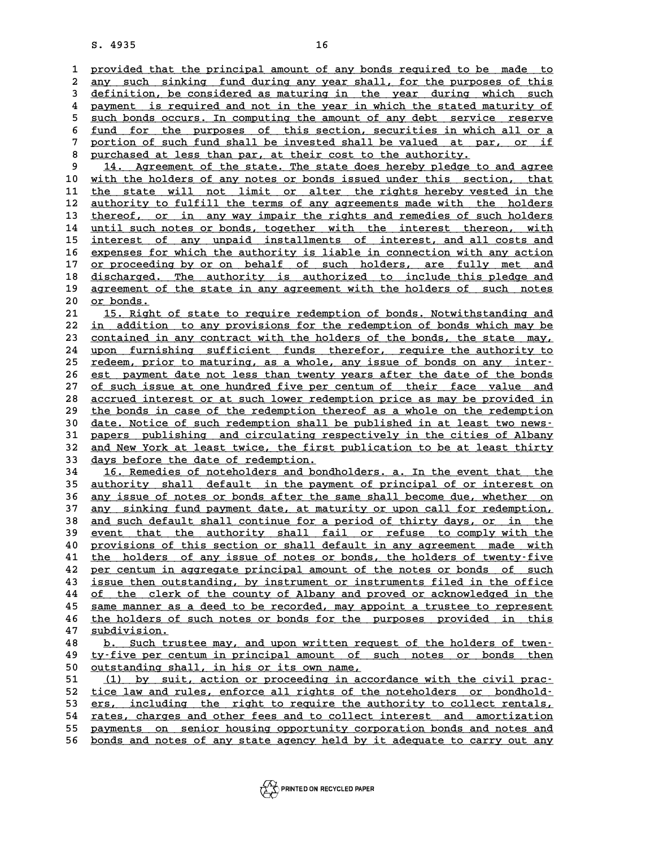16<br>
1 provided that the principal amount of any bonds required to be made to<br>
<sup>2</sup> any quab sinking fund during any year shall for the purposes of this provided that the principal amount of any bonds required to be made to<br>2 <u>any such sinking fund during any year shall, for the purposes of this</u><br>3 definition, be considered as maturing in the wear during which such 3 provided that the principal amount of any bonds required to be made to any such sinking fund during any year shall, for the purposes of this definition, be considered as maturing in the year during which such<br>a payment i any such sinking fund during any year shall, for the purposes of this<br> **4 payment is required and not in the year in which the stated maturity of**<br> **21 payment is required and not in the year in which the stated maturity o Example 13**<br>**4** payment is required and not in the year in which the stated maturity of<br>5 such bonds occurs. In computing the amount of any debt service reserve<br>fund for the purpose of this section sequrities in which all 4 payment is required and not in the year in which the stated maturity of<br>5 such bonds occurs. In computing the amount of any debt service reserve<br>6 <u>fund for the purposes of this section, securities in which all or a</u><br>por 5 <u>such bonds occurs. In computing the amount of any debt service reserve<br>
fund for the purposes of this section, securities in which all or a<br>
portion of such fund shall be invested shall be valued at par, or if<br>
purchase</u> **8** <u>fund for the purposes of this section</u>, securities in which<br> **8** purchased at less than par, at their cost to the authority.<br> **8** purchased at less than par, at their cost to the authority. portion of such fund shall be invested shall be valued at par, or if<br>
<u>purchased at less than par, at their cost to the authority.</u><br> **14.** Agreement of the state. The state does hereby pledge to and agree<br>
with the belders 8 <u>purchased at less than par, at their cost to the authority.</u><br>
9 14. Agreement of the state. The state does hereby pledge to and agree<br>
10 <u>with the holders of any notes or bonds issued under this section, that</u><br>
11 the 14. Agreement of the state. The state does hereby pledge to and agree<br>
10 with the holders of any notes or bonds issued under this section, that<br>
11 the state will not limit or alter the rights hereby vested in the<br>
21 unt 10 <u>with the holders of any notes or bonds issued under this section, that</u><br>11 <u>the state will not limit or alter the rights hereby vested in the authority to fulfill the terms of any agreements made with the holders<br>13 th</u> 11 the state will not limit or alter the rights hereby vested in the authority to fulfill the terms of any agreements made with the holders thereof, or in any way impair the rights and remedies of such holders until such p 12 <u>authority to fulfill the terms of any agreements made with the holders</u><br>13 <u>thereof, or in any way impair the rights and remedies of such holders</u><br>14 <u>until such notes or bonds, together with the interest thereon, with</u> **15** <u>interest of any unpaid installments of interest, and all costs and</u><br>16 expenses for which the authority is liable in connection with any action 14 <u>until such notes or bonds, together with the interest thereon, with</u><br>15 <u>interest of any unpaid installments of interest, and all costs and<br>16 expenses for which the authority is liable in connection with any action<br>27</u> interest of any unpaid installments of interest, and all costs and<br>16 <u>expenses for which the authority is liable in connection with any action</u><br>17 <u>or proceeding by or on behalf of such holders, are fully met and</u><br>dischar **16 expenses for which the authority is liable in connection with any action**<br>17 <u>or proceeding by or on behalf of such holders, are fully met and</u><br>18 discharged. The authority is authorized to include this pledge and<br>20 a 17 <u>or proceeding by or on behalf of such holders, are fully met and</u><br>18 <u>discharged. The authority is authorized to include this pledge and</u><br>19 <u>agreement of the state in any agreement with the holders of such notes</u><br>20 <u></u> discharged. The authority is authorized to include this pledge and<br>19 <u>agreement of the state in any agreement with the holders of such notes</u><br>20 <u>or bonds.</u><br>15. Right of state to require redemption of bonds. Notwithstandi 21 <u>agreement of the state in any agreement with the holders of such notes<br>
21 <u>15. Right of state to require redemption of bonds. Notwithstanding and</u><br>
22 in addition to any provisions for the redemption of bonds which ma</u> **20** <u>or bonds.</u><br> **21** <u>15. Right of state to require redemption of bonds. Notwithstanding and<br> **22** <u>in addition</u> to any provisions for the redemption of bonds which may be<br>
contained in any contract with the bolders of t</u> 21 15. Right of state to require redemption of bonds. Notwithstanding and<br>22 <u>in addition to any provisions for the redemption of bonds which may be<br>23 contained in any contract with the holders of the bonds, the state may</u> 22 <u>in addition to any provisions for the redemption of bonds which may be<br>23 <u>contained in any contract with the holders of the bonds, the state may,</u><br>24 upon furnishing sufficient funds therefor, require the authority to</u> 23 contained in any contract with the holders of the bonds, the state may,<br>24 upon furnishing sufficient funds therefor, require the authority to<br>25 redeem, prior to maturing, as a whole, any issue of bonds on any inter-<br>2 24 upon furnishing sufficient funds therefor, require the authority to<br>25 <u>redeem, prior to maturing, as a whole, any issue of bonds on any inter-</u><br>26 <u>est payment date not less than twenty years after the date of the bond</u> <u>redeem, prior to maturing, as a whole, any issue of bonds on any inter-</u><br>26 <u>est payment date not less than twenty years after the date of the bonds</u><br>27 <u>of such issue at one hundred five per centum of their face value an</u> 26 est payment date not less than twenty years after the date of the bonds<br>27 <u>of such issue at one hundred five per centum of their face value and</u><br>28 <u>accrued interest or at such lower redemption price as may be provided</u> of such issue at one hundred five per centum of their face value and<br>
28 accrued interest or at such lower redemption price as may be provided in<br>
29 the bonds in case of the redemption thereof as a whole on the redemption accrued interest or at such lower redemption price as may be provided in<br>
29 the bonds in case of the redemption thereof as a whole on the redemption<br>
30 date. Notice of such redemption shall be published in at least two n 29 the bonds in case of the redemption thereof as a whole on the redemption 30 date. Notice of such redemption shall be published in at least two news-<br>31 papers publishing and circulating respectively in the cities of Alb 30 date. Notice of such redemption shall be published in at least two news-<br>31 papers publishing and circulating respectively in the cities of Albany<br>32 and New York at least twice, the first publication to be at least thi 31 papers publishing and circulating re<br>32 <u>and New York at least twice, the first</u><br>33 <u>days before the date of redemption.</u><br>34 16 Porodios of potebolders and bord<sup>1</sup> 32 and New York at least twice, the first publication to be at least thirty<br>33 <u>days before the date of redemption.</u><br>34 16. Remedies of noteholders and bondholders. a. In the event that the<br>25 authority shall dofault in th days before the date of redemption.<br>
16. Remedies of noteholders and bondholders. a. In the event that the<br>
35 <u>authority shall default in the payment of principal of or interest on</u><br>
26 approximate of notes or bonds ofter **16. Remedies of noteholders and bondholders. a. In the event that the authority shall default in the payment of principal of or interest on** any issue of notes or bonds after the same shall become due, whether on any issu 35 <u>authority shall default in the payment of principal of or interest on</u><br>36 <u>any issue of notes or bonds after the same shall become due, whether on</u><br>37 <u>any sinking fund payment date, at maturity or upon call for redemp</u> **36 any issue of notes or bonds after the same shall become due, whether on any sinking fund payment date, at maturity or upon call for redemption, and such default shall continue for a period of thirty days, or in the aut 37** any sinking fund payment date, at maturity or upon call for redemption,<br> **38** and such default shall continue for a period of thirty days, or in the<br>
<u>event that the authority shall fail or refuse to comply with the</u><br> and such default shall continue for a period of thirty days, or in the<br>
<u>event that the authority shall fail or refuse to comply with the</u><br> **40** provisions of this section or shall default in any agreement made with<br>
the h **40** event that the authority shall fail or refuse to comply with the provisions of this section or shall default in any agreement made with the holders of any issue of notes or bonds, the holders of twenty-five por contum provisions of this section or shall default in any agreement made with<br>
<sup>41</sup> the holders of any issue of notes or bonds, the holders of twenty-five<br> **22** per centum in aggregate principal amount of the notes or bonds of su 41 the holders of any issue of notes or bonds, the holders of twenty-five<br>42 per centum in aggregate principal amount of the notes or bonds of such<br>43 <u>issue then outstanding, by instrument or instruments filed in the offi</u> **42** per centum in aggregate principal amount of the notes or bonds of such<br>43 <u>issue then outstanding</u>, by instrument or instruments filed in the office<br><u>of the clerk of the county of Albany and proved or acknowledged in </u> **43** issue then outstanding, by instrument or instruments filed in the office<br>of the clerk of the county of Albany and proved or acknowledged in the<br><u>same manner as a deed to be recorded, may appoint a trustee to represen</u> **44** of the clerk of the county of Albany and proved or acknowledged in the same manner as a deed to be recorded, may appoint a trustee to represent the holders of such notes or bonds for the purposes provided in this subd 95 same manner as a deed to be recorded, may appoint a trustee to represent<br>
46 the holders of such notes or bonds for the purposes provided in this<br>
47 <u>subdivision.</u><br>
6. Such trustee may, and upon written request of the the holders of such notes or bonds for the purposes provided in this<br>
48 <u>b. Such trustee may, and upon written request of the holders of twen-</u><br>
49 ty-five per centum in principal amount of such notes or bonds then **48** b. Such trustee may, and upon written request of the holders of twen-<br>**49** ty-five per centum in principal amount of such notes or bonds then<br>50 outstanding shall, in his or its own name, 50 <u>outstanding shall, in his or its own name,</u><br>51 (1) by suit, action or proceeding in ac **50** <u>ty-five per centum in principal amount of such notes or bonds then</u><br>
50 <u>outstanding shall, in his or its own name,</u><br>
<u>51 (1) by suit, action or proceeding in accordance with the civil prac-</u><br>
tigo law and rules or f 50 <u>outstanding shall, in his or its own name,</u><br>
51 (1) by suit, action or proceeding in accordance with the civil prac-<br>
<u>tice law and rules, enforce all rights of the noteholders or bondhold-</u><br>
ars including the right to 52 <u>tice law and rules, enforce all rights of the noteholders or bondhold-</u><br>53 <u>ers, including the right to require the authority to collect rentals,</u><br>54 rates, charges and other <u>fees and to collect interest and amortizat</u> 52 <u>tice law and rules, enforce all rights of the noteholders or bondhold-<br>53 ers, including the right to require the authority to collect rentals,<br><u>rates, charges and other fees and to collect interest and amortization</u><br>n</u> **F3** ers, including the right to require the authority to collect rentals,<br>
<u>rates, charges and other fees and to collect interest and amortization</u><br> **payments** on senior housing opportunity corporation bonds and notes and

55 <u>payments on senior housing opportunity corporation bonds and notes and</u><br>56 <u>bonds and notes of any state agency held by it adequate to carry out any</u>

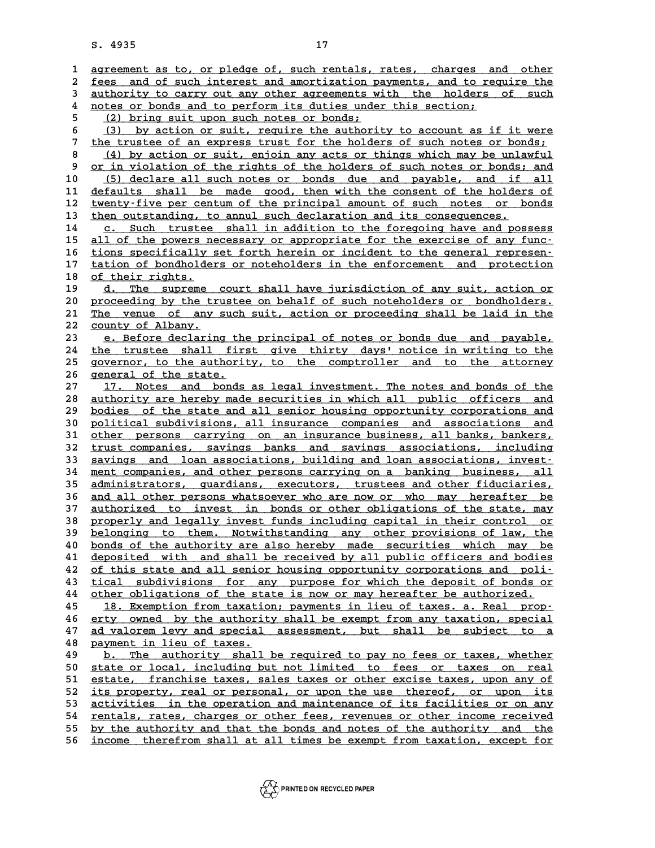8. 4935<br> **17**<br> **1** agreement as to, or pledge of, such rentals, rates, charges and other<br> **1** foos and of such interest and amerigation payments, and to require the **2** agreement as to, or pledge of, such rentals, rates, charges and other<br>2 fees and of such interest and amortization payments, and to require the<br>3 authority to garry out any other agreements with the holders of such 3 agreement as to, or pledge of, such rentals, rates, charges and other<br>
2 <u>fees and of such interest and amortization payments, and to require the</u><br>
3 <u>authority to carry out any other agreements with the holders of such</u> fees and of such interest and amortization payments, and to re<br>
<u>authority to carry out any other agreements with the holders</u><br>
<u>notes or bonds and to perform its duties under this section;</u><br>
(2) bring quit upon quab potes 3 <u>authority to carry out any other agreements w<br>
to notes or bonds and to perform its duties unde<br>
<u>(2) bring suit upon such notes or bonds;</u><br>
(3) by ation or suit require the sutheri</u> 4 <u>notes or bonds and to perform its duties under this section;<br>
5 (2) bring suit upon such notes or bonds;<br>
6 (3) by action or suit, require the authority to account as if it were<br>
<sup>7</sup> the trustee of an express trust for </u> <sup>5</sup> (2) bring suit upon such notes or bonds;<br>
<sup>5</sup> (3) by action or suit, require the authority to account as if it were<br>
<sup>7</sup> the trustee of an express trust for the holders of such notes or bonds;<br>
<sup>1</sup> (1) by action or sui 8 (3) by action or suit, require the authority to account as if it were<br>
<sup>7</sup> the trustee of an express trust for the holders of such notes or bonds;<br>
<u>(4) by action or suit, enjoin any acts or things which may be unlawful</u> the trustee of an express trust for the holders of such notes or bonds;<br>
<u>(4) by action or suit, enjoin any acts or things which may be unlawful</u><br>
<u>or in violation of the rights of the holders of such notes or bonds; and<br>
</u> 10 (4) by action or suit, enjoin any acts or things which may be unlawful<br>
10 <u>(5) declare all such notes or bonds due</u> and payable, and if all<br>
11 defaults shall be made good, then with the consent of the holders of 9 or in violation of the rights of the holders of such notes or bonds; and<br>10 (5) declare all such notes or bonds due and payable, and if all<br>11 defaults shall be made good, then with the consent of the holders of<br>tworty-f 10 (5) declare all such notes or bonds due and payable, and if all<br>
11 defaults shall be made good, then with the consent of the holders of<br>
12 twenty-five per centum of the principal amount of such notes or bonds<br>
then ou 11 defaults shall be made good, then with the consent of the holder<br>
12 twenty-five per centum of the principal amount of such notes or b<br>
13 then outstanding, to annul such declaration and its consequences.<br>
14 a Such tru 12 <u>twenty-five per centum of the principal amount of such notes or bonds</u><br>13 <u>then outstanding, to annul such declaration and its consequences.</u><br>14 <u>c. Such trustee shall in addition to the foregoing have and possess</u><br>15 15 all of the powers necessary or appropriate for the exercise of any func-<br>16 tions specifically set forth herein or incident to the general represen-16 tions specifically set forth herein or incident to the general represen-<br>17 tation of bondholders or noteholders in the enforcement and protection 15 all of the powers necessary or appropriate for the exercise of any func-<br>16 tions specifically set forth herein or incident to the general represen-<br>17 tation of bondholders or noteholders in the enforcement and protect 16 <u>tions specifically</u><br>17 <u>tation of bondholde</u><br>18 <u>of their rights.</u><br>19 d. The suprome 17 tation of bondholders or noteholders in the enforcement and protection<br>
18 <u>d. The supreme court shall have jurisdiction of any suit, action or</u><br>
20 proceeding by the trustee on behalf of such notebolders or bondholders **20** <u>d. The supreme court shall have jurisdiction of any suit, action or d. The supreme court shall have jurisdiction of any suit, action or proceeding by the trustee on behalf of such noteholders or bondholders.</u> 19 d. The supreme court shall have jurisdiction of any suit, action or proceeding by the trustee on behalf of such noteholders or bondholders.<br>21 <u>The venue of any such suit, action or proceeding shall be laid in the</u><br>22 d. The supreme court shall have jurisdiction of any suit, action or<br>
20 proceeding by the trustee on behalf of such noteholders or bondholders.<br>
21 The venue of any such suit, action or proceeding shall be laid in the<br>
22 The venue of any such suit, action or proceeding shall be laid in the<br>
22 <u>county of Albany.</u><br>
23 e. Before declaring the principal of notes or bonds due and payable,<br>
24 the trustee shall first give thirty days' notice in 22 <u>county of Albany.</u><br>
23 e. Before declaring the principal of notes or bonds due and payable,<br>
24 the trustee shall first give thirty days' notice in writing to the<br>
25 governor, to the authority to the comptrollor, and 23 e. Before declaring the principal of notes or bonds due and payable,<br>
24 the trustee shall first give thirty days' notice in writing to the<br>
25 governor, to the authority, to the comptroller and to the attorney 24 <u>the trustee shall fir</u><br>25 governor, to the authori<br>26 general of the state.<br>27 17 Notes and bonds 25 governor, to the authority, to the comptroller and to the attorney<br>
26 general of the state.<br>
27 17. Notes and bonds as legal investment. The notes and bonds of the<br>
28 authority are hereby made securities in which all 28 <u>authority are hereby made securities in which all public officers and</u><br>29 bodies of the state and all senior housing opportunity corporations and 17. Notes and bonds as legal investment. The notes and bonds of the authority are hereby made securities in which all public officers and bodies of the state and all senior housing opportunity corporations and political qu a <u>suthority are hereby made securities in which all public officers and<br>
29 bodies of the state and all senior housing opportunity corporations and<br>
30 political subdivisions, all insurance companies and associations and<br></u> bodies of the state and all senior housing opportunity corporations and political subdivisions, all insurance companies and associations and other persons carrying on an insurance business, all banks, bankers, trust compan <u>political subdivisions, all insurance companies and associations and other persons carrying on an insurance business, all banks, bankers,  $\frac{1}{2}$  trust companies, savings banks and savings associations, including saving</u> 31 <u>other persons carrying on an insurance-business, all banks, bankers, trust companies, savings banks and savings associations, including savings and loan associations, building and loan associations, invest-<br> **24** mont </u> 32 <u>trust companies, savings banks and savings associations, including savings and loan associations, building and loan associations, invest-<br>34 <u>ment companies, and other persons carrying on a banking business, all</u><br>35 ad</u> **33** savings and loan associations, building and loan associations, invest-<br>34 ment companies, and other persons carrying on a banking business, all<br>35 administrators, guardians, executors, trustees and other fiduciaries, 34 <u>ment companies, and other persons carrying on a banking business, all</u><br>35 <u>administrators, guardians, executors, trustees and other fiduciaries,</u><br>36 <u>and all other persons whatsoever who are now or who may hereafter be</u> 35 administrators, guardians, executors, trustees and other fiduciaries,<br>36 <u>and all other persons whatsoever who are now or who may hereafter be<br>37 authorized to invest in bonds or other obligations of the state, may<br>38 a</u> 36 <u>and all other persons whatsoever who are now or who may hereafter be<br>37 <u>authorized to invest in bonds or other obligations of the state, may</u><br>38 <u>properly and legally invest funds including capital in their control or</u></u> 37 <u>authorized to invest in bonds or other obligations of the state, may</u><br>38 <u>properly and legally invest funds including capital in their control or<br>belonging to them. Notwithstanding any other provisions of law, the<br>bond</u> properly and legally invest funds including capital in their control or<br> **bonds of the authority are also hereby made securities which may be**<br> **40** bonds of the authority are also hereby made securities which may be<br>
depo belonging to them. Notwithstanding any other provisions of law, the<br>40 <u>bonds of the authority are also hereby made securities which may be<br>41 deposited with and shall be received by all public officers and bodies<br>22 of th</u> bonds of the authority are also hereby made securities which may be<br>41 deposited with and shall be received by all public officers and bodies<br>of this state and all senior housing opportunity corporations and poli-<br>tical su **41 deposited with and shall be received by all public officers and bodies**<br>**42** of this state and all senior housing opportunity corporations and poli-<br>**43** tical subdivisions for any purpose for which the deposit of bond **42** of this state and all senior housing opportunity corporations and poli-<br> **43** tical subdivisions for any purpose for which the deposit of bonds or<br>
<u>ther obligations of the state is now or may hereafter be authorized.</u> 43 tical subdivisions for any purpose for which the deposit of bonds or<br>44 other obligations of the state is now or may hereafter be authorized.<br>45 18. Exemption from taxation; payments in lieu of taxes. a. Real prop-<br>46 o other obligations of the state is now or may hereafter be authorized.<br>
45 18. Exemption from taxation; payments in lieu of taxes. a. Real prop-<br>
46 erty owned by the authority shall be exempt from any taxation, special<br>
47 **18. Exemption from taxation; payments in lieu of taxes. a. Real prop-**<br>**46** erty owned by the authority shall be exempt from any taxation, special<br>**47** ad valorem levy and special assessment, but shall be subject to a<br>**48** 46 <u>erty owned by the authorit</u><br>47 <u>ad valorem levy and special</u><br>48 <u>payment in lieu of taxes.</u><br>49 **b** mbo authority shall **47** <u>ad valorem levy and special assessment</u>, but shall be subject to a<br>48 <u>bayment in lieu of taxes.</u><br>49 <u>b. The authority shall be required to pay no fees or taxes, whether</u><br>50 state or local including but not limited t **50 state of taxes.**<br> **50 degree or local, including but not limited to fees or taxes, whether<br>
<u>state or local, including but not limited to fees or taxes on real</u><br>
<b>position** franchise taxes, sales taxes or other excise **50** b. The authority shall be required to pay no fees or taxes, whether<br>50 state or local, including but not limited to fees or taxes on real<br>51 estate, franchise taxes, sales taxes or other excise taxes, upon any of<br>52 i 50 state or local, including but not limited to fees or taxes on real<br>51 <u>estate, franchise taxes, sales taxes or other excise taxes, upon any of</u><br>52 <u>its property, real or personal, or upon the use thereof, or upon its</u><br>5 51 <u>estate, franchise taxes, sales taxes or other excise taxes, upon any of</u><br>52 <u>its property, real or personal, or upon the use thereof, or upon its</u><br>53 <u>activities in the operation and maintenance of its facilities or on</u> 52 <u>its property, real or personal, or upon the use thereof, or upon its</u><br>53 <u>activities in the operation and maintenance of its facilities or on any</u><br><u>rentals, rates, charges or other fees, revenues or other income receiv</u> **53** activities in the operation and maintenance of its facilities or on any rentals, rates, charges or other fees, revenues or other income received by the authority and that the bonds and notes of the authority and the i 54 <u>rentals, rates, charges or other fees, revenues or other income received</u><br>55 <u>by the authority and that the bonds and notes of the authority and the</u><br>56 <u>income therefrom shall at all times be exempt from taxation, exc</u>